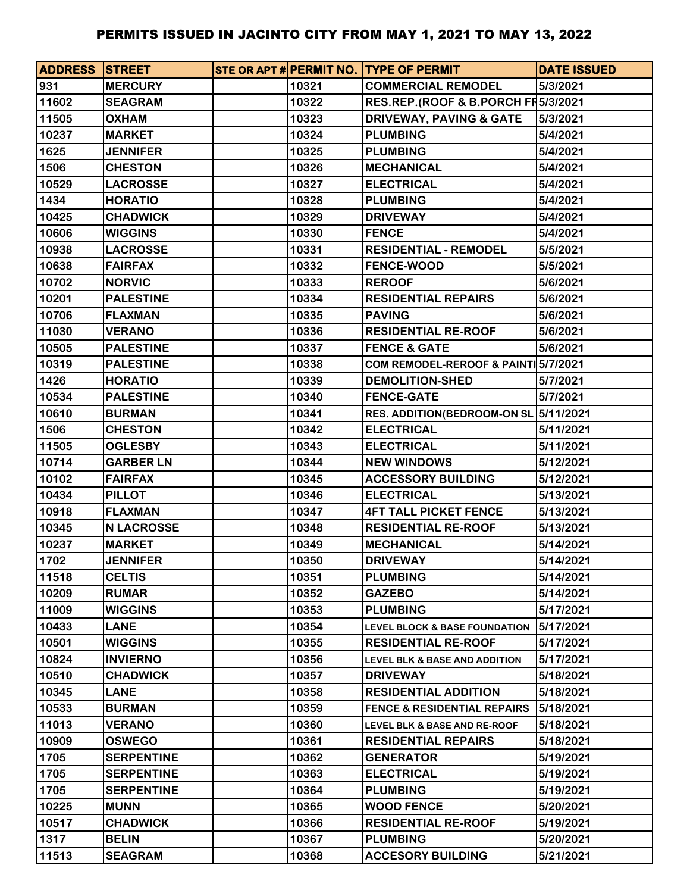| <b>ADDRESS STREET</b> |                   |       | STE OR APT # PERMIT NO. TYPE OF PERMIT   | <b>DATE ISSUED</b> |
|-----------------------|-------------------|-------|------------------------------------------|--------------------|
| 931                   | <b>MERCURY</b>    | 10321 | <b>COMMERCIAL REMODEL</b>                | 5/3/2021           |
| 11602                 | <b>SEAGRAM</b>    | 10322 | RES.REP.(ROOF & B.PORCH FI 5/3/2021      |                    |
| 11505                 | <b>OXHAM</b>      | 10323 | <b>DRIVEWAY, PAVING &amp; GATE</b>       | 5/3/2021           |
| 10237                 | <b>MARKET</b>     | 10324 | <b>PLUMBING</b>                          | 5/4/2021           |
| 1625                  | <b>JENNIFER</b>   | 10325 | <b>PLUMBING</b>                          | 5/4/2021           |
| 1506                  | <b>CHESTON</b>    | 10326 | <b>MECHANICAL</b>                        | 5/4/2021           |
| 10529                 | <b>LACROSSE</b>   | 10327 | <b>ELECTRICAL</b>                        | 5/4/2021           |
| 1434                  | <b>HORATIO</b>    | 10328 | <b>PLUMBING</b>                          | 5/4/2021           |
| 10425                 | <b>CHADWICK</b>   | 10329 | <b>DRIVEWAY</b>                          | 5/4/2021           |
| 10606                 | <b>WIGGINS</b>    | 10330 | <b>FENCE</b>                             | 5/4/2021           |
| 10938                 | <b>LACROSSE</b>   | 10331 | <b>RESIDENTIAL - REMODEL</b>             | 5/5/2021           |
| 10638                 | <b>FAIRFAX</b>    | 10332 | <b>FENCE-WOOD</b>                        | 5/5/2021           |
| 10702                 | <b>NORVIC</b>     | 10333 | <b>REROOF</b>                            | 5/6/2021           |
| 10201                 | <b>PALESTINE</b>  | 10334 | <b>RESIDENTIAL REPAIRS</b>               | 5/6/2021           |
| 10706                 | <b>FLAXMAN</b>    | 10335 | <b>PAVING</b>                            | 5/6/2021           |
| 11030                 | <b>VERANO</b>     | 10336 | <b>RESIDENTIAL RE-ROOF</b>               | 5/6/2021           |
| 10505                 | <b>PALESTINE</b>  | 10337 | <b>FENCE &amp; GATE</b>                  | 5/6/2021           |
| 10319                 | <b>PALESTINE</b>  | 10338 | COM REMODEL-REROOF & PAINT 5/7/2021      |                    |
| 1426                  | <b>HORATIO</b>    | 10339 | <b>DEMOLITION-SHED</b>                   | 5/7/2021           |
| 10534                 | <b>PALESTINE</b>  | 10340 | <b>FENCE-GATE</b>                        | 5/7/2021           |
| 10610                 | <b>BURMAN</b>     | 10341 | RES. ADDITION(BEDROOM-ON SL 5/11/2021    |                    |
| 1506                  | <b>CHESTON</b>    | 10342 | <b>ELECTRICAL</b>                        | 5/11/2021          |
| 11505                 | <b>OGLESBY</b>    | 10343 | <b>ELECTRICAL</b>                        | 5/11/2021          |
| 10714                 | <b>GARBER LN</b>  | 10344 | <b>NEW WINDOWS</b>                       | 5/12/2021          |
| 10102                 | <b>FAIRFAX</b>    | 10345 | <b>ACCESSORY BUILDING</b>                | 5/12/2021          |
| 10434                 | <b>PILLOT</b>     | 10346 | <b>ELECTRICAL</b>                        | 5/13/2021          |
| 10918                 | <b>FLAXMAN</b>    | 10347 | <b>4FT TALL PICKET FENCE</b>             | 5/13/2021          |
| 10345                 | <b>N LACROSSE</b> | 10348 | <b>RESIDENTIAL RE-ROOF</b>               | 5/13/2021          |
| 10237                 | <b>MARKET</b>     | 10349 | <b>MECHANICAL</b>                        | 5/14/2021          |
| 1702                  | <b>JENNIFER</b>   | 10350 | <b>DRIVEWAY</b>                          | 5/14/2021          |
| 11518                 | <b>CELTIS</b>     | 10351 | <b>PLUMBING</b>                          | 5/14/2021          |
| 10209                 | <b>RUMAR</b>      | 10352 | <b>GAZEBO</b>                            | 5/14/2021          |
| 11009                 | <b>WIGGINS</b>    | 10353 | <b>PLUMBING</b>                          | 5/17/2021          |
| 10433                 | <b>LANE</b>       | 10354 | <b>LEVEL BLOCK &amp; BASE FOUNDATION</b> | 5/17/2021          |
| 10501                 | <b>WIGGINS</b>    | 10355 | <b>RESIDENTIAL RE-ROOF</b>               | 5/17/2021          |
| 10824                 | <b>INVIERNO</b>   | 10356 | <b>LEVEL BLK &amp; BASE AND ADDITION</b> | 5/17/2021          |
| 10510                 | <b>CHADWICK</b>   | 10357 | <b>DRIVEWAY</b>                          | 5/18/2021          |
| 10345                 | <b>LANE</b>       | 10358 | <b>RESIDENTIAL ADDITION</b>              | 5/18/2021          |
| 10533                 | <b>BURMAN</b>     | 10359 | <b>FENCE &amp; RESIDENTIAL REPAIRS</b>   | 5/18/2021          |
| 11013                 | <b>VERANO</b>     | 10360 | LEVEL BLK & BASE AND RE-ROOF             | 5/18/2021          |
| 10909                 | <b>OSWEGO</b>     | 10361 | <b>RESIDENTIAL REPAIRS</b>               | 5/18/2021          |
| 1705                  | <b>SERPENTINE</b> | 10362 | <b>GENERATOR</b>                         | 5/19/2021          |
| 1705                  | <b>SERPENTINE</b> | 10363 | <b>ELECTRICAL</b>                        | 5/19/2021          |
| 1705                  | <b>SERPENTINE</b> | 10364 | <b>PLUMBING</b>                          | 5/19/2021          |
| 10225                 | <b>MUNN</b>       | 10365 | <b>WOOD FENCE</b>                        | 5/20/2021          |
| 10517                 | <b>CHADWICK</b>   | 10366 | <b>RESIDENTIAL RE-ROOF</b>               | 5/19/2021          |
| 1317                  | <b>BELIN</b>      | 10367 | <b>PLUMBING</b>                          | 5/20/2021          |
| 11513                 | <b>SEAGRAM</b>    | 10368 | <b>ACCESORY BUILDING</b>                 | 5/21/2021          |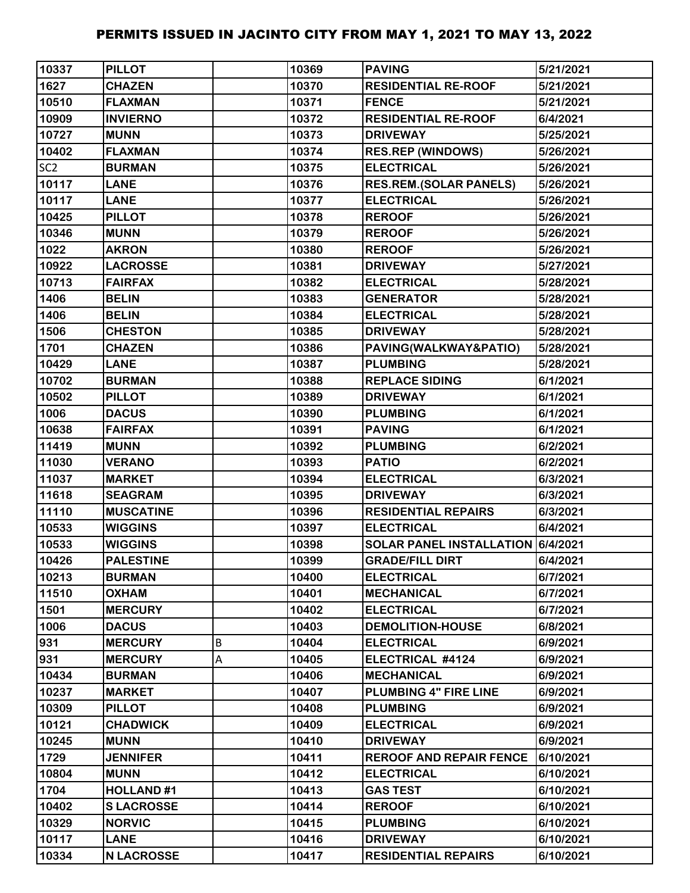| 10337           | <b>PILLOT</b>     |   | 10369 | <b>PAVING</b>                     | 5/21/2021 |
|-----------------|-------------------|---|-------|-----------------------------------|-----------|
| 1627            | <b>CHAZEN</b>     |   | 10370 | <b>RESIDENTIAL RE-ROOF</b>        | 5/21/2021 |
| 10510           | <b>FLAXMAN</b>    |   | 10371 | <b>FENCE</b>                      | 5/21/2021 |
| 10909           | <b>INVIERNO</b>   |   | 10372 | <b>RESIDENTIAL RE-ROOF</b>        | 6/4/2021  |
| 10727           | <b>MUNN</b>       |   | 10373 | <b>DRIVEWAY</b>                   | 5/25/2021 |
| 10402           | <b>FLAXMAN</b>    |   | 10374 | <b>RES.REP (WINDOWS)</b>          | 5/26/2021 |
| SC <sub>2</sub> | <b>BURMAN</b>     |   | 10375 | <b>ELECTRICAL</b>                 | 5/26/2021 |
| 10117           | <b>LANE</b>       |   | 10376 | <b>RES.REM.(SOLAR PANELS)</b>     | 5/26/2021 |
| 10117           | <b>LANE</b>       |   | 10377 | <b>ELECTRICAL</b>                 | 5/26/2021 |
| 10425           | <b>PILLOT</b>     |   | 10378 | <b>REROOF</b>                     | 5/26/2021 |
| 10346           | <b>MUNN</b>       |   | 10379 | <b>REROOF</b>                     | 5/26/2021 |
| 1022            | <b>AKRON</b>      |   | 10380 | <b>REROOF</b>                     | 5/26/2021 |
| 10922           | <b>LACROSSE</b>   |   | 10381 | <b>DRIVEWAY</b>                   | 5/27/2021 |
| 10713           | <b>FAIRFAX</b>    |   | 10382 | <b>ELECTRICAL</b>                 | 5/28/2021 |
| 1406            | <b>BELIN</b>      |   | 10383 | <b>GENERATOR</b>                  | 5/28/2021 |
| 1406            | <b>BELIN</b>      |   | 10384 | <b>ELECTRICAL</b>                 | 5/28/2021 |
| 1506            | <b>CHESTON</b>    |   | 10385 | <b>DRIVEWAY</b>                   | 5/28/2021 |
| 1701            | <b>CHAZEN</b>     |   | 10386 | PAVING(WALKWAY&PATIO)             | 5/28/2021 |
| 10429           | <b>LANE</b>       |   | 10387 | <b>PLUMBING</b>                   | 5/28/2021 |
| 10702           | <b>BURMAN</b>     |   | 10388 | <b>REPLACE SIDING</b>             | 6/1/2021  |
| 10502           | <b>PILLOT</b>     |   | 10389 | <b>DRIVEWAY</b>                   | 6/1/2021  |
| 1006            | <b>DACUS</b>      |   | 10390 | <b>PLUMBING</b>                   | 6/1/2021  |
| 10638           | <b>FAIRFAX</b>    |   | 10391 | <b>PAVING</b>                     | 6/1/2021  |
| 11419           | <b>MUNN</b>       |   | 10392 | <b>PLUMBING</b>                   | 6/2/2021  |
| 11030           | <b>VERANO</b>     |   | 10393 | <b>PATIO</b>                      | 6/2/2021  |
| 11037           | <b>MARKET</b>     |   | 10394 | <b>ELECTRICAL</b>                 | 6/3/2021  |
| 11618           | <b>SEAGRAM</b>    |   | 10395 | <b>DRIVEWAY</b>                   | 6/3/2021  |
| 11110           | <b>MUSCATINE</b>  |   | 10396 | <b>RESIDENTIAL REPAIRS</b>        | 6/3/2021  |
| 10533           | <b>WIGGINS</b>    |   | 10397 | <b>ELECTRICAL</b>                 | 6/4/2021  |
| 10533           | <b>WIGGINS</b>    |   | 10398 | SOLAR PANEL INSTALLATION 6/4/2021 |           |
| 10426           | <b>PALESTINE</b>  |   | 10399 | <b>GRADE/FILL DIRT</b>            | 6/4/2021  |
| 10213           | <b>BURMAN</b>     |   | 10400 | <b>ELECTRICAL</b>                 | 6/7/2021  |
| 11510           | <b>OXHAM</b>      |   | 10401 | <b>MECHANICAL</b>                 | 6/7/2021  |
| 1501            | <b>MERCURY</b>    |   | 10402 | <b>ELECTRICAL</b>                 | 6/7/2021  |
| 1006            | <b>DACUS</b>      |   | 10403 | <b>DEMOLITION-HOUSE</b>           | 6/8/2021  |
| 931             | <b>MERCURY</b>    | B | 10404 | <b>ELECTRICAL</b>                 | 6/9/2021  |
| 931             | <b>MERCURY</b>    | А | 10405 | ELECTRICAL #4124                  | 6/9/2021  |
| 10434           | <b>BURMAN</b>     |   | 10406 | <b>MECHANICAL</b>                 | 6/9/2021  |
| 10237           | <b>MARKET</b>     |   | 10407 | PLUMBING 4" FIRE LINE             | 6/9/2021  |
| 10309           | <b>PILLOT</b>     |   | 10408 | <b>PLUMBING</b>                   | 6/9/2021  |
| 10121           | <b>CHADWICK</b>   |   | 10409 | <b>ELECTRICAL</b>                 | 6/9/2021  |
| 10245           | <b>MUNN</b>       |   | 10410 | <b>DRIVEWAY</b>                   | 6/9/2021  |
| 1729            | <b>JENNIFER</b>   |   | 10411 | <b>REROOF AND REPAIR FENCE</b>    | 6/10/2021 |
| 10804           | <b>MUNN</b>       |   | 10412 | <b>ELECTRICAL</b>                 | 6/10/2021 |
| 1704            | <b>HOLLAND#1</b>  |   | 10413 | <b>GAS TEST</b>                   | 6/10/2021 |
| 10402           | <b>SLACROSSE</b>  |   | 10414 | <b>REROOF</b>                     | 6/10/2021 |
| 10329           | <b>NORVIC</b>     |   | 10415 | <b>PLUMBING</b>                   | 6/10/2021 |
| 10117           | <b>LANE</b>       |   | 10416 | <b>DRIVEWAY</b>                   | 6/10/2021 |
| 10334           | <b>N LACROSSE</b> |   | 10417 | <b>RESIDENTIAL REPAIRS</b>        | 6/10/2021 |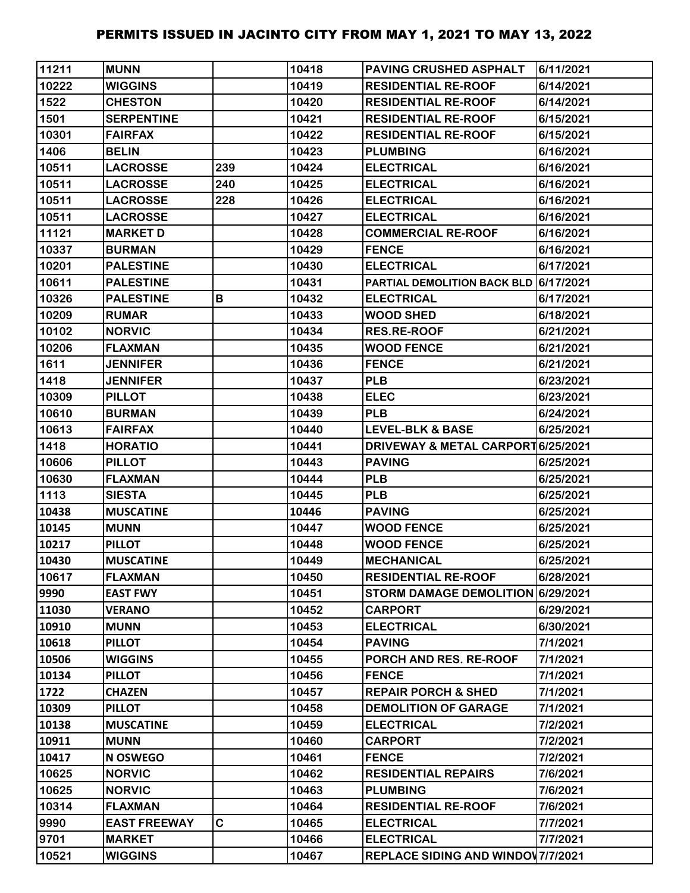| 11211 | <b>MUNN</b>         |     | 10418 | <b>PAVING CRUSHED ASPHALT</b>         | 6/11/2021 |
|-------|---------------------|-----|-------|---------------------------------------|-----------|
| 10222 | <b>WIGGINS</b>      |     | 10419 | <b>RESIDENTIAL RE-ROOF</b>            | 6/14/2021 |
| 1522  | <b>CHESTON</b>      |     | 10420 | <b>RESIDENTIAL RE-ROOF</b>            | 6/14/2021 |
| 1501  | <b>SERPENTINE</b>   |     | 10421 | <b>RESIDENTIAL RE-ROOF</b>            | 6/15/2021 |
| 10301 | <b>FAIRFAX</b>      |     | 10422 | <b>RESIDENTIAL RE-ROOF</b>            | 6/15/2021 |
| 1406  | <b>BELIN</b>        |     | 10423 | <b>PLUMBING</b>                       | 6/16/2021 |
| 10511 | <b>LACROSSE</b>     | 239 | 10424 | <b>ELECTRICAL</b>                     | 6/16/2021 |
| 10511 | <b>LACROSSE</b>     | 240 | 10425 | <b>ELECTRICAL</b>                     | 6/16/2021 |
| 10511 | <b>LACROSSE</b>     | 228 | 10426 | <b>ELECTRICAL</b>                     | 6/16/2021 |
| 10511 | <b>LACROSSE</b>     |     | 10427 | <b>ELECTRICAL</b>                     | 6/16/2021 |
| 11121 | <b>MARKET D</b>     |     | 10428 | <b>COMMERCIAL RE-ROOF</b>             | 6/16/2021 |
| 10337 | <b>BURMAN</b>       |     | 10429 | <b>FENCE</b>                          | 6/16/2021 |
| 10201 | <b>PALESTINE</b>    |     | 10430 | <b>ELECTRICAL</b>                     | 6/17/2021 |
| 10611 | <b>PALESTINE</b>    |     | 10431 | PARTIAL DEMOLITION BACK BLD 6/17/2021 |           |
| 10326 | <b>PALESTINE</b>    | В   | 10432 | <b>ELECTRICAL</b>                     | 6/17/2021 |
| 10209 | <b>RUMAR</b>        |     | 10433 | <b>WOOD SHED</b>                      | 6/18/2021 |
| 10102 | <b>NORVIC</b>       |     | 10434 | <b>RES.RE-ROOF</b>                    | 6/21/2021 |
| 10206 | <b>FLAXMAN</b>      |     | 10435 | <b>WOOD FENCE</b>                     | 6/21/2021 |
| 1611  | <b>JENNIFER</b>     |     | 10436 | <b>FENCE</b>                          | 6/21/2021 |
| 1418  | <b>JENNIFER</b>     |     | 10437 | <b>PLB</b>                            | 6/23/2021 |
| 10309 | <b>PILLOT</b>       |     | 10438 | <b>ELEC</b>                           | 6/23/2021 |
| 10610 | <b>BURMAN</b>       |     | 10439 | <b>PLB</b>                            | 6/24/2021 |
| 10613 | <b>FAIRFAX</b>      |     | 10440 | <b>LEVEL-BLK &amp; BASE</b>           | 6/25/2021 |
| 1418  | <b>HORATIO</b>      |     | 10441 | DRIVEWAY & METAL CARPORT 6/25/2021    |           |
| 10606 | <b>PILLOT</b>       |     | 10443 | <b>PAVING</b>                         | 6/25/2021 |
| 10630 | <b>FLAXMAN</b>      |     | 10444 | <b>PLB</b>                            | 6/25/2021 |
| 1113  | <b>SIESTA</b>       |     | 10445 | <b>PLB</b>                            | 6/25/2021 |
| 10438 | <b>MUSCATINE</b>    |     | 10446 | <b>PAVING</b>                         | 6/25/2021 |
| 10145 | <b>MUNN</b>         |     | 10447 | <b>WOOD FENCE</b>                     | 6/25/2021 |
| 10217 | <b>PILLOT</b>       |     | 10448 | <b>WOOD FENCE</b>                     | 6/25/2021 |
| 10430 | <b>MUSCATINE</b>    |     | 10449 | <b>MECHANICAL</b>                     | 6/25/2021 |
| 10617 | <b>FLAXMAN</b>      |     | 10450 | <b>RESIDENTIAL RE-ROOF</b>            | 6/28/2021 |
| 9990  | <b>EAST FWY</b>     |     | 10451 | STORM DAMAGE DEMOLITION 6/29/2021     |           |
| 11030 | <b>VERANO</b>       |     | 10452 | <b>CARPORT</b>                        | 6/29/2021 |
| 10910 | <b>MUNN</b>         |     | 10453 | <b>ELECTRICAL</b>                     | 6/30/2021 |
| 10618 | <b>PILLOT</b>       |     | 10454 | <b>PAVING</b>                         | 7/1/2021  |
| 10506 | <b>WIGGINS</b>      |     | 10455 | PORCH AND RES. RE-ROOF                | 7/1/2021  |
| 10134 | <b>PILLOT</b>       |     | 10456 | <b>FENCE</b>                          | 7/1/2021  |
| 1722  | <b>CHAZEN</b>       |     | 10457 | <b>REPAIR PORCH &amp; SHED</b>        | 7/1/2021  |
| 10309 | <b>PILLOT</b>       |     | 10458 | <b>DEMOLITION OF GARAGE</b>           | 7/1/2021  |
| 10138 | <b>MUSCATINE</b>    |     | 10459 | <b>ELECTRICAL</b>                     | 7/2/2021  |
| 10911 | <b>MUNN</b>         |     | 10460 | <b>CARPORT</b>                        | 7/2/2021  |
| 10417 | <b>N OSWEGO</b>     |     | 10461 | <b>FENCE</b>                          | 7/2/2021  |
| 10625 | <b>NORVIC</b>       |     | 10462 | <b>RESIDENTIAL REPAIRS</b>            | 7/6/2021  |
| 10625 | <b>NORVIC</b>       |     | 10463 | <b>PLUMBING</b>                       | 7/6/2021  |
| 10314 | <b>FLAXMAN</b>      |     | 10464 | <b>RESIDENTIAL RE-ROOF</b>            | 7/6/2021  |
| 9990  | <b>EAST FREEWAY</b> | C   | 10465 | <b>ELECTRICAL</b>                     | 7/7/2021  |
| 9701  | <b>MARKET</b>       |     | 10466 | <b>ELECTRICAL</b>                     | 7/7/2021  |
| 10521 | <b>WIGGINS</b>      |     | 10467 | REPLACE SIDING AND WINDOW 7/7/2021    |           |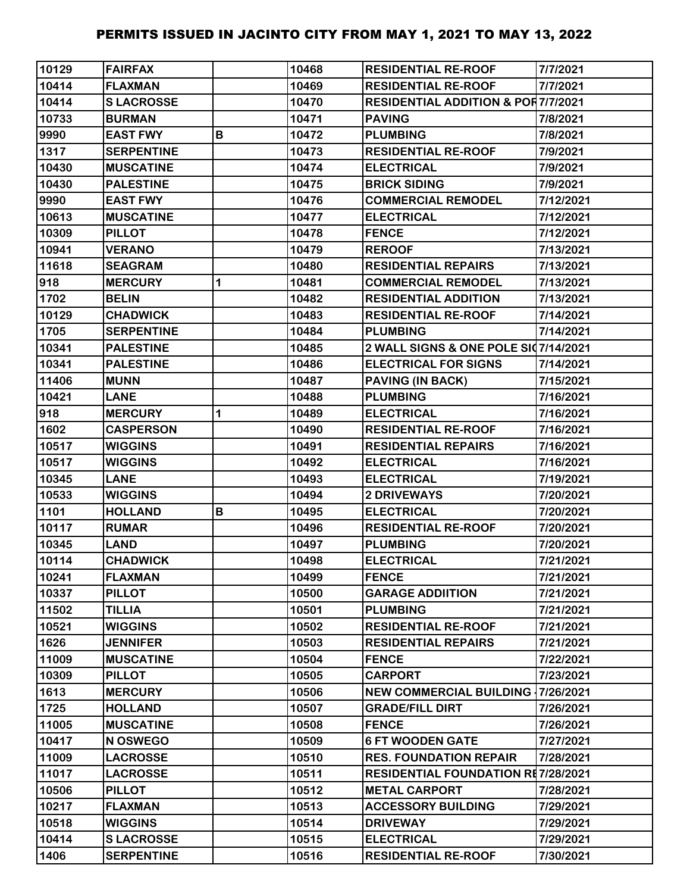| 10129 | <b>FAIRFAX</b>    |   | 10468 | <b>RESIDENTIAL RE-ROOF</b>                    | 7/7/2021  |
|-------|-------------------|---|-------|-----------------------------------------------|-----------|
| 10414 | <b>FLAXMAN</b>    |   | 10469 | <b>RESIDENTIAL RE-ROOF</b>                    | 7/7/2021  |
| 10414 | <b>SLACROSSE</b>  |   | 10470 | <b>RESIDENTIAL ADDITION &amp; POR7/7/2021</b> |           |
| 10733 | <b>BURMAN</b>     |   | 10471 | <b>PAVING</b>                                 | 7/8/2021  |
| 9990  | <b>EAST FWY</b>   | B | 10472 | <b>PLUMBING</b>                               | 7/8/2021  |
| 1317  | <b>SERPENTINE</b> |   | 10473 | <b>RESIDENTIAL RE-ROOF</b>                    | 7/9/2021  |
| 10430 | <b>MUSCATINE</b>  |   | 10474 | <b>ELECTRICAL</b>                             | 7/9/2021  |
| 10430 | <b>PALESTINE</b>  |   | 10475 | <b>BRICK SIDING</b>                           | 7/9/2021  |
| 9990  | <b>EAST FWY</b>   |   | 10476 | <b>COMMERCIAL REMODEL</b>                     | 7/12/2021 |
| 10613 | <b>MUSCATINE</b>  |   | 10477 | <b>ELECTRICAL</b>                             | 7/12/2021 |
| 10309 | <b>PILLOT</b>     |   | 10478 | <b>FENCE</b>                                  | 7/12/2021 |
| 10941 | <b>VERANO</b>     |   | 10479 | <b>REROOF</b>                                 | 7/13/2021 |
| 11618 | <b>SEAGRAM</b>    |   | 10480 | <b>RESIDENTIAL REPAIRS</b>                    | 7/13/2021 |
| 918   | <b>MERCURY</b>    | 1 | 10481 | <b>COMMERCIAL REMODEL</b>                     | 7/13/2021 |
| 1702  | <b>BELIN</b>      |   | 10482 | <b>RESIDENTIAL ADDITION</b>                   | 7/13/2021 |
| 10129 | <b>CHADWICK</b>   |   | 10483 | <b>RESIDENTIAL RE-ROOF</b>                    | 7/14/2021 |
| 1705  | <b>SERPENTINE</b> |   | 10484 | <b>PLUMBING</b>                               | 7/14/2021 |
| 10341 | <b>PALESTINE</b>  |   | 10485 | 2 WALL SIGNS & ONE POLE SI07/14/2021          |           |
| 10341 | <b>PALESTINE</b>  |   | 10486 | <b>ELECTRICAL FOR SIGNS</b>                   | 7/14/2021 |
| 11406 | <b>MUNN</b>       |   | 10487 | <b>PAVING (IN BACK)</b>                       | 7/15/2021 |
| 10421 | <b>LANE</b>       |   | 10488 | <b>PLUMBING</b>                               | 7/16/2021 |
| 918   | <b>MERCURY</b>    | 1 | 10489 | <b>ELECTRICAL</b>                             | 7/16/2021 |
| 1602  | <b>CASPERSON</b>  |   | 10490 | <b>RESIDENTIAL RE-ROOF</b>                    | 7/16/2021 |
| 10517 | <b>WIGGINS</b>    |   | 10491 | <b>RESIDENTIAL REPAIRS</b>                    | 7/16/2021 |
| 10517 | <b>WIGGINS</b>    |   | 10492 | <b>ELECTRICAL</b>                             | 7/16/2021 |
| 10345 | <b>LANE</b>       |   | 10493 | <b>ELECTRICAL</b>                             | 7/19/2021 |
| 10533 | <b>WIGGINS</b>    |   | 10494 | 2 DRIVEWAYS                                   | 7/20/2021 |
| 1101  | <b>HOLLAND</b>    | В | 10495 | <b>ELECTRICAL</b>                             | 7/20/2021 |
| 10117 | <b>RUMAR</b>      |   | 10496 | <b>RESIDENTIAL RE-ROOF</b>                    | 7/20/2021 |
| 10345 | <b>LAND</b>       |   | 10497 | <b>PLUMBING</b>                               | 7/20/2021 |
| 10114 | <b>CHADWICK</b>   |   | 10498 | <b>ELECTRICAL</b>                             | 7/21/2021 |
| 10241 | <b>FLAXMAN</b>    |   | 10499 | <b>FENCE</b>                                  | 7/21/2021 |
| 10337 | <b>PILLOT</b>     |   | 10500 | <b>GARAGE ADDIITION</b>                       | 7/21/2021 |
| 11502 | <b>TILLIA</b>     |   | 10501 | <b>PLUMBING</b>                               | 7/21/2021 |
| 10521 | <b>WIGGINS</b>    |   | 10502 | <b>RESIDENTIAL RE-ROOF</b>                    | 7/21/2021 |
| 1626  | <b>JENNIFER</b>   |   | 10503 | <b>RESIDENTIAL REPAIRS</b>                    | 7/21/2021 |
| 11009 | <b>MUSCATINE</b>  |   | 10504 | <b>FENCE</b>                                  | 7/22/2021 |
| 10309 | <b>PILLOT</b>     |   | 10505 | <b>CARPORT</b>                                | 7/23/2021 |
| 1613  | <b>MERCURY</b>    |   | 10506 | <b>NEW COMMERCIAL BUILDING 17/26/2021</b>     |           |
| 1725  | <b>HOLLAND</b>    |   | 10507 | <b>GRADE/FILL DIRT</b>                        | 7/26/2021 |
| 11005 | <b>MUSCATINE</b>  |   | 10508 | <b>FENCE</b>                                  | 7/26/2021 |
| 10417 | N OSWEGO          |   | 10509 | <b>6 FT WOODEN GATE</b>                       | 7/27/2021 |
| 11009 | <b>LACROSSE</b>   |   | 10510 | <b>RES. FOUNDATION REPAIR</b>                 | 7/28/2021 |
| 11017 | <b>LACROSSE</b>   |   | 10511 | <b>RESIDENTIAL FOUNDATION RE7/28/2021</b>     |           |
| 10506 | <b>PILLOT</b>     |   | 10512 | <b>METAL CARPORT</b>                          | 7/28/2021 |
| 10217 | <b>FLAXMAN</b>    |   | 10513 | <b>ACCESSORY BUILDING</b>                     | 7/29/2021 |
| 10518 | <b>WIGGINS</b>    |   | 10514 | <b>DRIVEWAY</b>                               | 7/29/2021 |
| 10414 | <b>SLACROSSE</b>  |   | 10515 | <b>ELECTRICAL</b>                             | 7/29/2021 |
| 1406  | <b>SERPENTINE</b> |   | 10516 | <b>RESIDENTIAL RE-ROOF</b>                    | 7/30/2021 |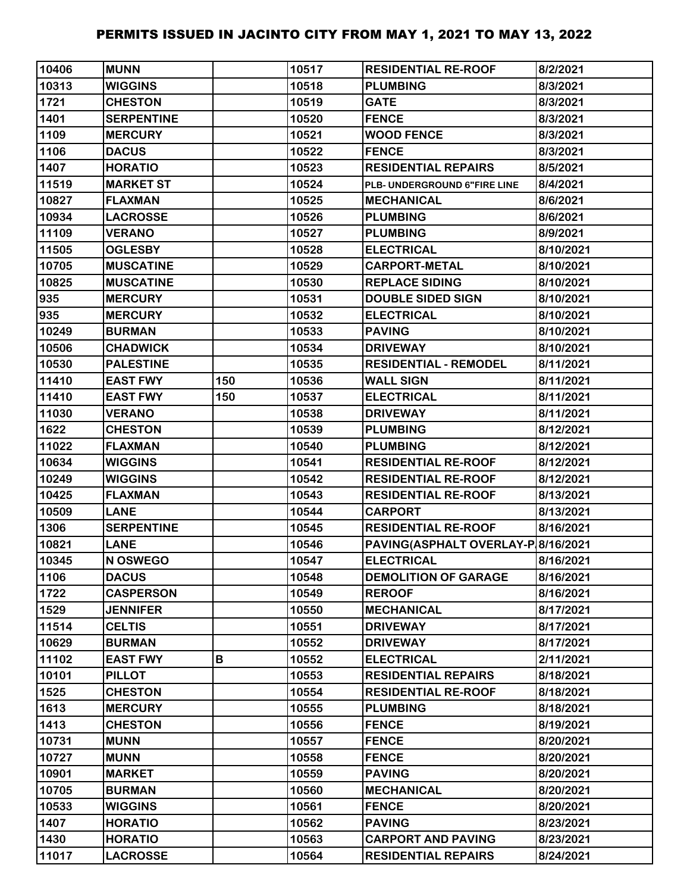| 10406 | <b>MUNN</b>       |     | 10517 | <b>RESIDENTIAL RE-ROOF</b>         | 8/2/2021  |
|-------|-------------------|-----|-------|------------------------------------|-----------|
| 10313 | <b>WIGGINS</b>    |     | 10518 | <b>PLUMBING</b>                    | 8/3/2021  |
| 1721  | <b>CHESTON</b>    |     | 10519 | <b>GATE</b>                        | 8/3/2021  |
| 1401  | <b>SERPENTINE</b> |     | 10520 | <b>FENCE</b>                       | 8/3/2021  |
| 1109  | <b>MERCURY</b>    |     | 10521 | <b>WOOD FENCE</b>                  | 8/3/2021  |
| 1106  | <b>DACUS</b>      |     | 10522 | <b>FENCE</b>                       | 8/3/2021  |
| 1407  | <b>HORATIO</b>    |     | 10523 | <b>RESIDENTIAL REPAIRS</b>         | 8/5/2021  |
| 11519 | <b>MARKET ST</b>  |     | 10524 | PLB- UNDERGROUND 6"FIRE LINE       | 8/4/2021  |
| 10827 | <b>FLAXMAN</b>    |     | 10525 | <b>MECHANICAL</b>                  | 8/6/2021  |
| 10934 | <b>LACROSSE</b>   |     | 10526 | <b>PLUMBING</b>                    | 8/6/2021  |
| 11109 | <b>VERANO</b>     |     | 10527 | <b>PLUMBING</b>                    | 8/9/2021  |
| 11505 | <b>OGLESBY</b>    |     | 10528 | <b>ELECTRICAL</b>                  | 8/10/2021 |
| 10705 | <b>MUSCATINE</b>  |     | 10529 | <b>CARPORT-METAL</b>               | 8/10/2021 |
| 10825 | <b>MUSCATINE</b>  |     | 10530 | <b>REPLACE SIDING</b>              | 8/10/2021 |
| 935   | <b>MERCURY</b>    |     | 10531 | <b>DOUBLE SIDED SIGN</b>           | 8/10/2021 |
| 935   | <b>MERCURY</b>    |     | 10532 | <b>ELECTRICAL</b>                  | 8/10/2021 |
| 10249 | <b>BURMAN</b>     |     | 10533 | <b>PAVING</b>                      | 8/10/2021 |
| 10506 | <b>CHADWICK</b>   |     | 10534 | <b>DRIVEWAY</b>                    | 8/10/2021 |
| 10530 | <b>PALESTINE</b>  |     | 10535 | <b>RESIDENTIAL - REMODEL</b>       | 8/11/2021 |
| 11410 | <b>EAST FWY</b>   | 150 | 10536 | <b>WALL SIGN</b>                   | 8/11/2021 |
| 11410 | <b>EAST FWY</b>   | 150 | 10537 | <b>ELECTRICAL</b>                  | 8/11/2021 |
| 11030 | <b>VERANO</b>     |     | 10538 | <b>DRIVEWAY</b>                    | 8/11/2021 |
| 1622  | <b>CHESTON</b>    |     | 10539 | <b>PLUMBING</b>                    | 8/12/2021 |
| 11022 | <b>FLAXMAN</b>    |     | 10540 | <b>PLUMBING</b>                    | 8/12/2021 |
| 10634 | <b>WIGGINS</b>    |     | 10541 | <b>RESIDENTIAL RE-ROOF</b>         | 8/12/2021 |
| 10249 | <b>WIGGINS</b>    |     | 10542 | <b>RESIDENTIAL RE-ROOF</b>         | 8/12/2021 |
| 10425 | <b>FLAXMAN</b>    |     | 10543 | <b>RESIDENTIAL RE-ROOF</b>         | 8/13/2021 |
| 10509 | <b>LANE</b>       |     | 10544 | <b>CARPORT</b>                     | 8/13/2021 |
| 1306  | <b>SERPENTINE</b> |     | 10545 | <b>RESIDENTIAL RE-ROOF</b>         | 8/16/2021 |
| 10821 | <b>LANE</b>       |     | 10546 | PAVING(ASPHALT OVERLAY-P 8/16/2021 |           |
| 10345 | N OSWEGO          |     | 10547 | <b>ELECTRICAL</b>                  | 8/16/2021 |
| 1106  | <b>DACUS</b>      |     | 10548 | <b>DEMOLITION OF GARAGE</b>        | 8/16/2021 |
| 1722  | <b>CASPERSON</b>  |     | 10549 | <b>REROOF</b>                      | 8/16/2021 |
| 1529  | <b>JENNIFER</b>   |     | 10550 | <b>MECHANICAL</b>                  | 8/17/2021 |
| 11514 | <b>CELTIS</b>     |     | 10551 | <b>DRIVEWAY</b>                    | 8/17/2021 |
| 10629 | <b>BURMAN</b>     |     | 10552 | <b>DRIVEWAY</b>                    | 8/17/2021 |
| 11102 | <b>EAST FWY</b>   | В   | 10552 | <b>ELECTRICAL</b>                  | 2/11/2021 |
| 10101 | <b>PILLOT</b>     |     | 10553 | <b>RESIDENTIAL REPAIRS</b>         | 8/18/2021 |
| 1525  | <b>CHESTON</b>    |     | 10554 | <b>RESIDENTIAL RE-ROOF</b>         | 8/18/2021 |
| 1613  | <b>MERCURY</b>    |     | 10555 | <b>PLUMBING</b>                    | 8/18/2021 |
| 1413  | <b>CHESTON</b>    |     | 10556 | <b>FENCE</b>                       | 8/19/2021 |
| 10731 | <b>MUNN</b>       |     | 10557 | <b>FENCE</b>                       | 8/20/2021 |
| 10727 | <b>MUNN</b>       |     | 10558 | <b>FENCE</b>                       | 8/20/2021 |
| 10901 | <b>MARKET</b>     |     | 10559 | <b>PAVING</b>                      | 8/20/2021 |
| 10705 | <b>BURMAN</b>     |     | 10560 | <b>MECHANICAL</b>                  | 8/20/2021 |
| 10533 | <b>WIGGINS</b>    |     | 10561 | <b>FENCE</b>                       | 8/20/2021 |
| 1407  | <b>HORATIO</b>    |     | 10562 | <b>PAVING</b>                      | 8/23/2021 |
| 1430  | <b>HORATIO</b>    |     | 10563 | <b>CARPORT AND PAVING</b>          | 8/23/2021 |
| 11017 | <b>LACROSSE</b>   |     | 10564 | <b>RESIDENTIAL REPAIRS</b>         | 8/24/2021 |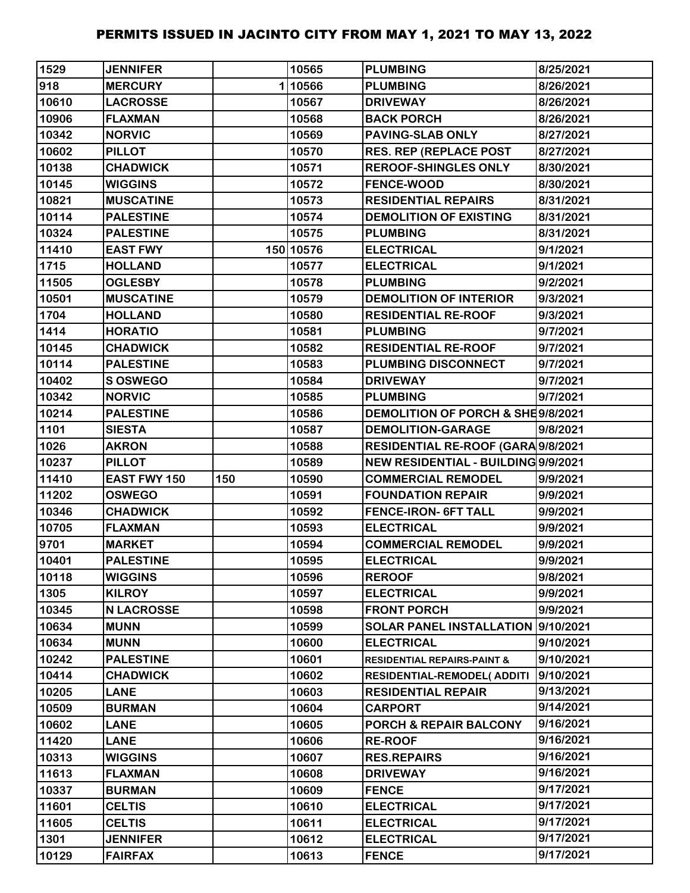| 1529  | <b>JENNIFER</b>     |     | 10565     | <b>PLUMBING</b>                        | 8/25/2021 |
|-------|---------------------|-----|-----------|----------------------------------------|-----------|
| 918   | <b>MERCURY</b>      |     | 110566    | <b>PLUMBING</b>                        | 8/26/2021 |
| 10610 | <b>LACROSSE</b>     |     | 10567     | <b>DRIVEWAY</b>                        | 8/26/2021 |
| 10906 | <b>FLAXMAN</b>      |     | 10568     | <b>BACK PORCH</b>                      | 8/26/2021 |
| 10342 | <b>NORVIC</b>       |     | 10569     | PAVING-SLAB ONLY                       | 8/27/2021 |
| 10602 | <b>PILLOT</b>       |     | 10570     | <b>RES. REP (REPLACE POST</b>          | 8/27/2021 |
| 10138 | <b>CHADWICK</b>     |     | 10571     | <b>REROOF-SHINGLES ONLY</b>            | 8/30/2021 |
| 10145 | <b>WIGGINS</b>      |     | 10572     | <b>FENCE-WOOD</b>                      | 8/30/2021 |
| 10821 | <b>MUSCATINE</b>    |     | 10573     | <b>RESIDENTIAL REPAIRS</b>             | 8/31/2021 |
| 10114 | <b>PALESTINE</b>    |     | 10574     | <b>DEMOLITION OF EXISTING</b>          | 8/31/2021 |
| 10324 | <b>PALESTINE</b>    |     | 10575     | <b>PLUMBING</b>                        | 8/31/2021 |
| 11410 | <b>EAST FWY</b>     |     | 150 10576 | <b>ELECTRICAL</b>                      | 9/1/2021  |
| 1715  | <b>HOLLAND</b>      |     | 10577     | <b>ELECTRICAL</b>                      | 9/1/2021  |
| 11505 | <b>OGLESBY</b>      |     | 10578     | <b>PLUMBING</b>                        | 9/2/2021  |
| 10501 | <b>MUSCATINE</b>    |     | 10579     | <b>DEMOLITION OF INTERIOR</b>          | 9/3/2021  |
| 1704  | <b>HOLLAND</b>      |     | 10580     | <b>RESIDENTIAL RE-ROOF</b>             | 9/3/2021  |
| 1414  | <b>HORATIO</b>      |     | 10581     | <b>PLUMBING</b>                        | 9/7/2021  |
| 10145 | <b>CHADWICK</b>     |     | 10582     | <b>RESIDENTIAL RE-ROOF</b>             | 9/7/2021  |
| 10114 | <b>PALESTINE</b>    |     | 10583     | <b>PLUMBING DISCONNECT</b>             | 9/7/2021  |
| 10402 | <b>S OSWEGO</b>     |     | 10584     | <b>DRIVEWAY</b>                        | 9/7/2021  |
| 10342 | <b>NORVIC</b>       |     | 10585     | <b>PLUMBING</b>                        | 9/7/2021  |
| 10214 | <b>PALESTINE</b>    |     | 10586     | DEMOLITION OF PORCH & SHE9/8/2021      |           |
| 1101  | <b>SIESTA</b>       |     | 10587     | <b>DEMOLITION-GARAGE</b>               | 9/8/2021  |
| 1026  | <b>AKRON</b>        |     | 10588     | RESIDENTIAL RE-ROOF (GARA 9/8/2021     |           |
| 10237 | <b>PILLOT</b>       |     | 10589     | NEW RESIDENTIAL - BUILDING 9/9/2021    |           |
| 11410 | <b>EAST FWY 150</b> | 150 | 10590     | <b>COMMERCIAL REMODEL</b>              | 9/9/2021  |
| 11202 | <b>OSWEGO</b>       |     | 10591     | <b>FOUNDATION REPAIR</b>               | 9/9/2021  |
| 10346 | <b>CHADWICK</b>     |     | 10592     | <b>FENCE-IRON- 6FT TALL</b>            | 9/9/2021  |
| 10705 | <b>FLAXMAN</b>      |     | 10593     | <b>ELECTRICAL</b>                      | 9/9/2021  |
| 9701  | <b>MARKET</b>       |     | 10594     | <b>COMMERCIAL REMODEL</b>              | 9/9/2021  |
| 10401 | <b>PALESTINE</b>    |     | 10595     | <b>ELECTRICAL</b>                      | 9/9/2021  |
| 10118 | <b>WIGGINS</b>      |     | 10596     | <b>REROOF</b>                          | 9/8/2021  |
| 1305  | <b>KILROY</b>       |     | 10597     | <b>ELECTRICAL</b>                      | 9/9/2021  |
| 10345 | <b>N LACROSSE</b>   |     | 10598     | <b>FRONT PORCH</b>                     | 9/9/2021  |
| 10634 | <b>MUNN</b>         |     | 10599     | SOLAR PANEL INSTALLATION 9/10/2021     |           |
| 10634 | <b>MUNN</b>         |     | 10600     | <b>ELECTRICAL</b>                      | 9/10/2021 |
| 10242 | <b>PALESTINE</b>    |     | 10601     | <b>RESIDENTIAL REPAIRS-PAINT &amp;</b> | 9/10/2021 |
| 10414 | <b>CHADWICK</b>     |     | 10602     | <b>RESIDENTIAL-REMODEL( ADDITI</b>     | 9/10/2021 |
| 10205 | <b>LANE</b>         |     | 10603     | <b>RESIDENTIAL REPAIR</b>              | 9/13/2021 |
| 10509 | <b>BURMAN</b>       |     | 10604     | <b>CARPORT</b>                         | 9/14/2021 |
| 10602 | <b>LANE</b>         |     | 10605     | PORCH & REPAIR BALCONY                 | 9/16/2021 |
| 11420 | <b>LANE</b>         |     | 10606     | <b>RE-ROOF</b>                         | 9/16/2021 |
| 10313 | <b>WIGGINS</b>      |     | 10607     | <b>RES.REPAIRS</b>                     | 9/16/2021 |
| 11613 | <b>FLAXMAN</b>      |     | 10608     | <b>DRIVEWAY</b>                        | 9/16/2021 |
| 10337 | <b>BURMAN</b>       |     | 10609     | <b>FENCE</b>                           | 9/17/2021 |
| 11601 | <b>CELTIS</b>       |     | 10610     | <b>ELECTRICAL</b>                      | 9/17/2021 |
| 11605 | <b>CELTIS</b>       |     | 10611     | <b>ELECTRICAL</b>                      | 9/17/2021 |
| 1301  | <b>JENNIFER</b>     |     | 10612     | <b>ELECTRICAL</b>                      | 9/17/2021 |
| 10129 | <b>FAIRFAX</b>      |     | 10613     | <b>FENCE</b>                           | 9/17/2021 |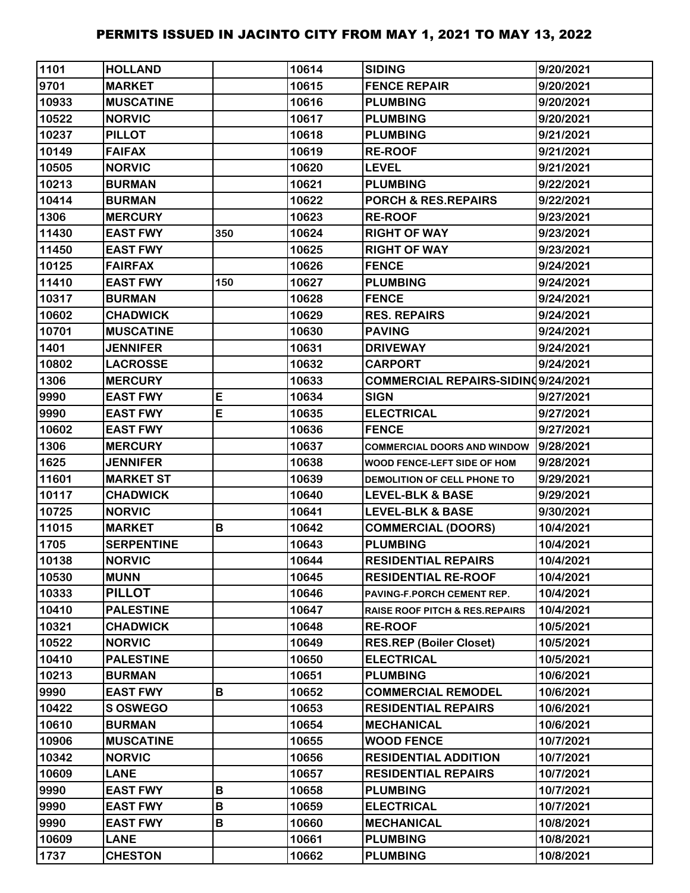| 1101  | <b>HOLLAND</b>    |     | 10614 | <b>SIDING</b>                             | 9/20/2021 |
|-------|-------------------|-----|-------|-------------------------------------------|-----------|
| 9701  | <b>MARKET</b>     |     | 10615 | <b>FENCE REPAIR</b>                       | 9/20/2021 |
| 10933 | <b>MUSCATINE</b>  |     | 10616 | <b>PLUMBING</b>                           | 9/20/2021 |
| 10522 | <b>NORVIC</b>     |     | 10617 | <b>PLUMBING</b>                           | 9/20/2021 |
| 10237 | <b>PILLOT</b>     |     | 10618 | <b>PLUMBING</b>                           | 9/21/2021 |
| 10149 | <b>FAIFAX</b>     |     | 10619 | <b>RE-ROOF</b>                            | 9/21/2021 |
| 10505 | <b>NORVIC</b>     |     | 10620 | <b>LEVEL</b>                              | 9/21/2021 |
| 10213 | <b>BURMAN</b>     |     | 10621 | <b>PLUMBING</b>                           | 9/22/2021 |
| 10414 | <b>BURMAN</b>     |     | 10622 | PORCH & RES.REPAIRS                       | 9/22/2021 |
| 1306  | <b>MERCURY</b>    |     | 10623 | <b>RE-ROOF</b>                            | 9/23/2021 |
| 11430 | <b>EAST FWY</b>   | 350 | 10624 | <b>RIGHT OF WAY</b>                       | 9/23/2021 |
| 11450 | <b>EAST FWY</b>   |     | 10625 | <b>RIGHT OF WAY</b>                       | 9/23/2021 |
| 10125 | <b>FAIRFAX</b>    |     | 10626 | <b>FENCE</b>                              | 9/24/2021 |
| 11410 | <b>EAST FWY</b>   | 150 | 10627 | <b>PLUMBING</b>                           | 9/24/2021 |
| 10317 | <b>BURMAN</b>     |     | 10628 | <b>FENCE</b>                              | 9/24/2021 |
| 10602 | <b>CHADWICK</b>   |     | 10629 | <b>RES. REPAIRS</b>                       | 9/24/2021 |
| 10701 | <b>MUSCATINE</b>  |     | 10630 | <b>PAVING</b>                             | 9/24/2021 |
| 1401  | <b>JENNIFER</b>   |     | 10631 | <b>DRIVEWAY</b>                           | 9/24/2021 |
| 10802 | <b>LACROSSE</b>   |     | 10632 | <b>CARPORT</b>                            | 9/24/2021 |
| 1306  | <b>MERCURY</b>    |     | 10633 | <b>COMMERCIAL REPAIRS-SIDIN(9/24/2021</b> |           |
| 9990  | <b>EAST FWY</b>   | E   | 10634 | <b>SIGN</b>                               | 9/27/2021 |
| 9990  | <b>EAST FWY</b>   | E   | 10635 | <b>ELECTRICAL</b>                         | 9/27/2021 |
| 10602 | <b>EAST FWY</b>   |     | 10636 | <b>FENCE</b>                              | 9/27/2021 |
| 1306  | <b>MERCURY</b>    |     | 10637 | <b>COMMERCIAL DOORS AND WINDOW</b>        | 9/28/2021 |
| 1625  | <b>JENNIFER</b>   |     | 10638 | WOOD FENCE-LEFT SIDE OF HOM               | 9/28/2021 |
| 11601 | <b>MARKET ST</b>  |     | 10639 | DEMOLITION OF CELL PHONE TO               | 9/29/2021 |
| 10117 | <b>CHADWICK</b>   |     | 10640 | <b>LEVEL-BLK &amp; BASE</b>               | 9/29/2021 |
| 10725 | <b>NORVIC</b>     |     | 10641 | <b>LEVEL-BLK &amp; BASE</b>               | 9/30/2021 |
| 11015 | <b>MARKET</b>     | B   | 10642 | <b>COMMERCIAL (DOORS)</b>                 | 10/4/2021 |
| 1705  | <b>SERPENTINE</b> |     | 10643 | <b>PLUMBING</b>                           | 10/4/2021 |
| 10138 | <b>NORVIC</b>     |     | 10644 | <b>RESIDENTIAL REPAIRS</b>                | 10/4/2021 |
| 10530 | <b>MUNN</b>       |     | 10645 | <b>RESIDENTIAL RE-ROOF</b>                | 10/4/2021 |
| 10333 | <b>PILLOT</b>     |     | 10646 | PAVING-F.PORCH CEMENT REP.                | 10/4/2021 |
| 10410 | <b>PALESTINE</b>  |     | 10647 | <b>RAISE ROOF PITCH &amp; RES.REPAIRS</b> | 10/4/2021 |
| 10321 | <b>CHADWICK</b>   |     | 10648 | <b>RE-ROOF</b>                            | 10/5/2021 |
| 10522 | <b>NORVIC</b>     |     | 10649 | <b>RES.REP (Boiler Closet)</b>            | 10/5/2021 |
| 10410 | <b>PALESTINE</b>  |     | 10650 | <b>ELECTRICAL</b>                         | 10/5/2021 |
| 10213 | <b>BURMAN</b>     |     | 10651 | <b>PLUMBING</b>                           | 10/6/2021 |
| 9990  | <b>EAST FWY</b>   | B   | 10652 | <b>COMMERCIAL REMODEL</b>                 | 10/6/2021 |
| 10422 | S OSWEGO          |     | 10653 | <b>RESIDENTIAL REPAIRS</b>                | 10/6/2021 |
| 10610 | <b>BURMAN</b>     |     | 10654 | <b>MECHANICAL</b>                         | 10/6/2021 |
| 10906 | <b>MUSCATINE</b>  |     | 10655 | <b>WOOD FENCE</b>                         | 10/7/2021 |
| 10342 | <b>NORVIC</b>     |     | 10656 | <b>RESIDENTIAL ADDITION</b>               | 10/7/2021 |
| 10609 | <b>LANE</b>       |     | 10657 | <b>RESIDENTIAL REPAIRS</b>                | 10/7/2021 |
| 9990  | <b>EAST FWY</b>   | B   | 10658 | <b>PLUMBING</b>                           | 10/7/2021 |
| 9990  | <b>EAST FWY</b>   | B   | 10659 | <b>ELECTRICAL</b>                         | 10/7/2021 |
| 9990  | <b>EAST FWY</b>   | B   | 10660 | <b>MECHANICAL</b>                         | 10/8/2021 |
| 10609 | <b>LANE</b>       |     | 10661 | <b>PLUMBING</b>                           | 10/8/2021 |
| 1737  | <b>CHESTON</b>    |     | 10662 | <b>PLUMBING</b>                           | 10/8/2021 |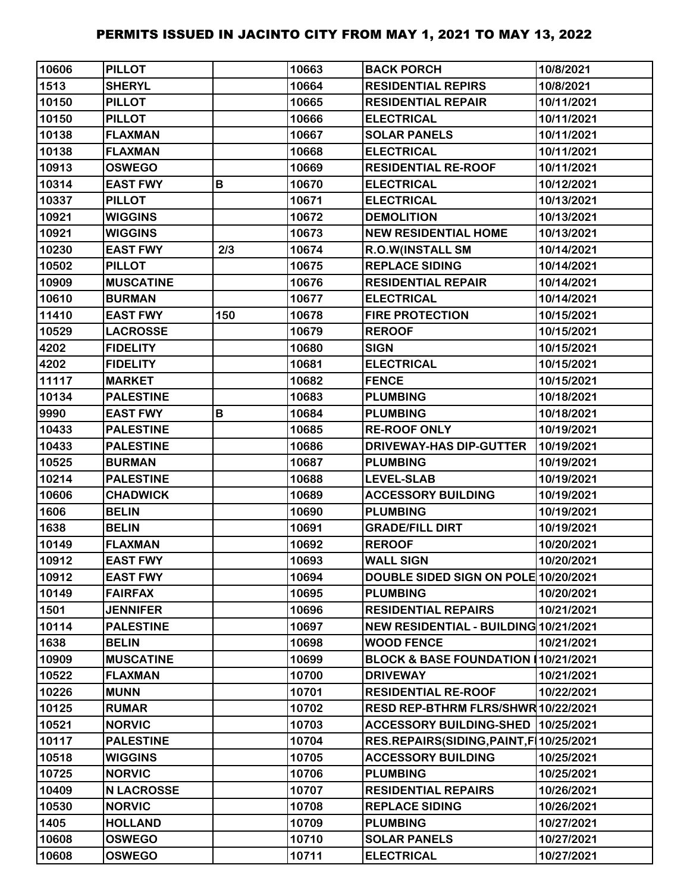| 10606 | <b>PILLOT</b>     |     | 10663 | <b>BACK PORCH</b>                         | 10/8/2021  |
|-------|-------------------|-----|-------|-------------------------------------------|------------|
| 1513  | <b>SHERYL</b>     |     | 10664 | <b>RESIDENTIAL REPIRS</b>                 | 10/8/2021  |
| 10150 | <b>PILLOT</b>     |     | 10665 | <b>RESIDENTIAL REPAIR</b>                 | 10/11/2021 |
| 10150 | <b>PILLOT</b>     |     | 10666 | <b>ELECTRICAL</b>                         | 10/11/2021 |
| 10138 | <b>FLAXMAN</b>    |     | 10667 | <b>SOLAR PANELS</b>                       | 10/11/2021 |
| 10138 | <b>FLAXMAN</b>    |     | 10668 | <b>ELECTRICAL</b>                         | 10/11/2021 |
| 10913 | <b>OSWEGO</b>     |     | 10669 | <b>RESIDENTIAL RE-ROOF</b>                | 10/11/2021 |
| 10314 | <b>EAST FWY</b>   | B   | 10670 | <b>ELECTRICAL</b>                         | 10/12/2021 |
| 10337 | <b>PILLOT</b>     |     | 10671 | <b>ELECTRICAL</b>                         | 10/13/2021 |
| 10921 | <b>WIGGINS</b>    |     | 10672 | <b>DEMOLITION</b>                         | 10/13/2021 |
| 10921 | <b>WIGGINS</b>    |     | 10673 | <b>NEW RESIDENTIAL HOME</b>               | 10/13/2021 |
| 10230 | <b>EAST FWY</b>   | 2/3 | 10674 | <b>R.O.W(INSTALL SM</b>                   | 10/14/2021 |
| 10502 | <b>PILLOT</b>     |     | 10675 | <b>REPLACE SIDING</b>                     | 10/14/2021 |
| 10909 | <b>MUSCATINE</b>  |     | 10676 | <b>RESIDENTIAL REPAIR</b>                 | 10/14/2021 |
| 10610 | <b>BURMAN</b>     |     | 10677 | <b>ELECTRICAL</b>                         | 10/14/2021 |
| 11410 | <b>EAST FWY</b>   | 150 | 10678 | <b>FIRE PROTECTION</b>                    | 10/15/2021 |
| 10529 | <b>LACROSSE</b>   |     | 10679 | <b>REROOF</b>                             | 10/15/2021 |
| 4202  | <b>FIDELITY</b>   |     | 10680 | <b>SIGN</b>                               | 10/15/2021 |
| 4202  | <b>FIDELITY</b>   |     | 10681 | <b>ELECTRICAL</b>                         | 10/15/2021 |
| 11117 | <b>MARKET</b>     |     | 10682 | <b>FENCE</b>                              | 10/15/2021 |
| 10134 | <b>PALESTINE</b>  |     | 10683 | <b>PLUMBING</b>                           | 10/18/2021 |
| 9990  | <b>EAST FWY</b>   | B   | 10684 | <b>PLUMBING</b>                           | 10/18/2021 |
| 10433 | <b>PALESTINE</b>  |     | 10685 | <b>RE-ROOF ONLY</b>                       | 10/19/2021 |
| 10433 | <b>PALESTINE</b>  |     | 10686 | <b>DRIVEWAY-HAS DIP-GUTTER</b>            | 10/19/2021 |
| 10525 | <b>BURMAN</b>     |     | 10687 | <b>PLUMBING</b>                           | 10/19/2021 |
| 10214 | <b>PALESTINE</b>  |     | 10688 | <b>LEVEL-SLAB</b>                         | 10/19/2021 |
| 10606 | <b>CHADWICK</b>   |     | 10689 | <b>ACCESSORY BUILDING</b>                 | 10/19/2021 |
| 1606  | <b>BELIN</b>      |     | 10690 | <b>PLUMBING</b>                           | 10/19/2021 |
| 1638  | <b>BELIN</b>      |     | 10691 | <b>GRADE/FILL DIRT</b>                    | 10/19/2021 |
| 10149 | <b>FLAXMAN</b>    |     | 10692 | <b>REROOF</b>                             | 10/20/2021 |
| 10912 | <b>EAST FWY</b>   |     | 10693 | <b>WALL SIGN</b>                          | 10/20/2021 |
| 10912 | <b>EAST FWY</b>   |     | 10694 | DOUBLE SIDED SIGN ON POLE 10/20/2021      |            |
| 10149 | <b>FAIRFAX</b>    |     | 10695 | <b>PLUMBING</b>                           | 10/20/2021 |
| 1501  | <b>JENNIFER</b>   |     | 10696 | <b>RESIDENTIAL REPAIRS</b>                | 10/21/2021 |
| 10114 | <b>PALESTINE</b>  |     | 10697 | NEW RESIDENTIAL - BUILDING 10/21/2021     |            |
| 1638  | <b>BELIN</b>      |     | 10698 | <b>WOOD FENCE</b>                         | 10/21/2021 |
| 10909 | <b>MUSCATINE</b>  |     | 10699 | BLOCK & BASE FOUNDATION 10/21/2021        |            |
| 10522 | <b>FLAXMAN</b>    |     | 10700 | <b>DRIVEWAY</b>                           | 10/21/2021 |
| 10226 | <b>MUNN</b>       |     | 10701 | <b>RESIDENTIAL RE-ROOF</b>                | 10/22/2021 |
| 10125 | <b>RUMAR</b>      |     | 10702 | RESD REP-BTHRM FLRS/SHWR 10/22/2021       |            |
| 10521 | <b>NORVIC</b>     |     | 10703 | <b>ACCESSORY BUILDING-SHED</b>            | 10/25/2021 |
| 10117 | <b>PALESTINE</b>  |     | 10704 | RES.REPAIRS(SIDING, PAINT, F   10/25/2021 |            |
| 10518 | <b>WIGGINS</b>    |     | 10705 | <b>ACCESSORY BUILDING</b>                 | 10/25/2021 |
| 10725 | <b>NORVIC</b>     |     | 10706 | <b>PLUMBING</b>                           | 10/25/2021 |
| 10409 | <b>N LACROSSE</b> |     | 10707 | <b>RESIDENTIAL REPAIRS</b>                | 10/26/2021 |
| 10530 | <b>NORVIC</b>     |     | 10708 | <b>REPLACE SIDING</b>                     | 10/26/2021 |
| 1405  | <b>HOLLAND</b>    |     | 10709 | <b>PLUMBING</b>                           | 10/27/2021 |
| 10608 | <b>OSWEGO</b>     |     | 10710 | <b>SOLAR PANELS</b>                       | 10/27/2021 |
| 10608 | <b>OSWEGO</b>     |     | 10711 | <b>ELECTRICAL</b>                         | 10/27/2021 |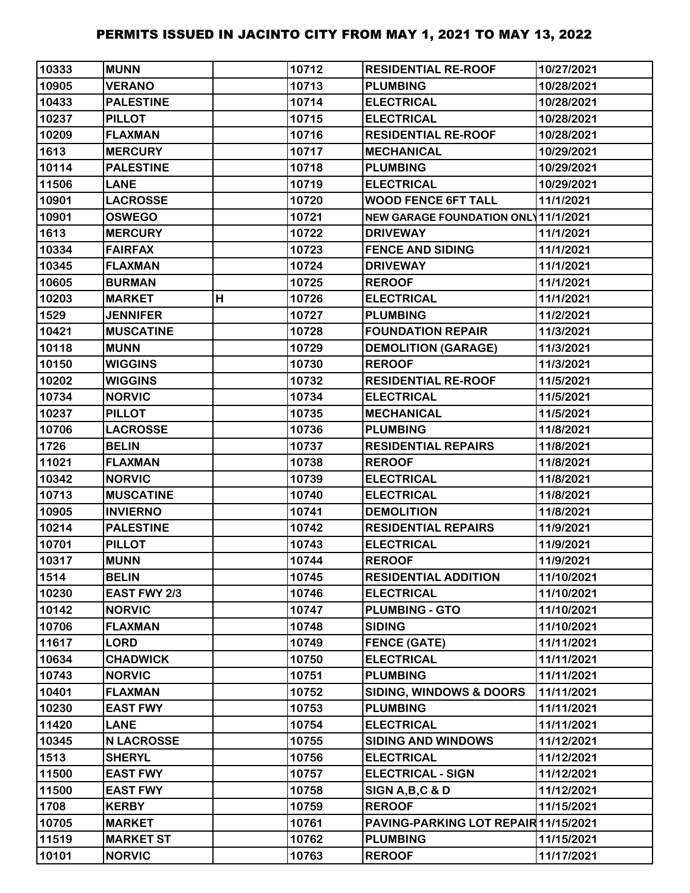| 10333 | <b>MUNN</b>       |   | 10712 | <b>RESIDENTIAL RE-ROOF</b>           | 10/27/2021 |
|-------|-------------------|---|-------|--------------------------------------|------------|
| 10905 | <b>VERANO</b>     |   | 10713 | <b>PLUMBING</b>                      | 10/28/2021 |
| 10433 | <b>PALESTINE</b>  |   | 10714 | <b>ELECTRICAL</b>                    | 10/28/2021 |
| 10237 | <b>PILLOT</b>     |   | 10715 | <b>ELECTRICAL</b>                    | 10/28/2021 |
| 10209 | <b>FLAXMAN</b>    |   | 10716 | <b>RESIDENTIAL RE-ROOF</b>           | 10/28/2021 |
| 1613  | <b>MERCURY</b>    |   | 10717 | <b>MECHANICAL</b>                    | 10/29/2021 |
| 10114 | <b>PALESTINE</b>  |   | 10718 | <b>PLUMBING</b>                      | 10/29/2021 |
| 11506 | <b>LANE</b>       |   | 10719 | <b>ELECTRICAL</b>                    | 10/29/2021 |
| 10901 | <b>LACROSSE</b>   |   | 10720 | <b>WOOD FENCE 6FT TALL</b>           | 11/1/2021  |
| 10901 | <b>OSWEGO</b>     |   | 10721 | NEW GARAGE FOUNDATION ONL 11/1/2021  |            |
| 1613  | <b>MERCURY</b>    |   | 10722 | <b>DRIVEWAY</b>                      | 11/1/2021  |
| 10334 | <b>FAIRFAX</b>    |   | 10723 | <b>FENCE AND SIDING</b>              | 11/1/2021  |
| 10345 | <b>FLAXMAN</b>    |   | 10724 | <b>DRIVEWAY</b>                      | 11/1/2021  |
| 10605 | <b>BURMAN</b>     |   | 10725 | <b>REROOF</b>                        | 11/1/2021  |
| 10203 | <b>MARKET</b>     | H | 10726 | <b>ELECTRICAL</b>                    | 11/1/2021  |
| 1529  | <b>JENNIFER</b>   |   | 10727 | <b>PLUMBING</b>                      | 11/2/2021  |
| 10421 | <b>MUSCATINE</b>  |   | 10728 | <b>FOUNDATION REPAIR</b>             | 11/3/2021  |
| 10118 | <b>MUNN</b>       |   | 10729 | <b>DEMOLITION (GARAGE)</b>           | 11/3/2021  |
| 10150 | <b>WIGGINS</b>    |   | 10730 | <b>REROOF</b>                        | 11/3/2021  |
| 10202 | <b>WIGGINS</b>    |   | 10732 | <b>RESIDENTIAL RE-ROOF</b>           | 11/5/2021  |
| 10734 | <b>NORVIC</b>     |   | 10734 | <b>ELECTRICAL</b>                    | 11/5/2021  |
| 10237 | <b>PILLOT</b>     |   | 10735 | <b>MECHANICAL</b>                    | 11/5/2021  |
| 10706 | <b>LACROSSE</b>   |   | 10736 | <b>PLUMBING</b>                      | 11/8/2021  |
| 1726  | <b>BELIN</b>      |   | 10737 | <b>RESIDENTIAL REPAIRS</b>           | 11/8/2021  |
| 11021 | <b>FLAXMAN</b>    |   | 10738 | <b>REROOF</b>                        | 11/8/2021  |
| 10342 | <b>NORVIC</b>     |   | 10739 | <b>ELECTRICAL</b>                    | 11/8/2021  |
| 10713 | <b>MUSCATINE</b>  |   | 10740 | <b>ELECTRICAL</b>                    | 11/8/2021  |
| 10905 | <b>INVIERNO</b>   |   | 10741 | <b>DEMOLITION</b>                    | 11/8/2021  |
| 10214 | <b>PALESTINE</b>  |   | 10742 | <b>RESIDENTIAL REPAIRS</b>           | 11/9/2021  |
| 10701 | <b>PILLOT</b>     |   | 10743 | <b>ELECTRICAL</b>                    | 11/9/2021  |
| 10317 | <b>MUNN</b>       |   | 10744 | <b>REROOF</b>                        | 11/9/2021  |
| 1514  | <b>BELIN</b>      |   | 10745 | <b>RESIDENTIAL ADDITION</b>          | 11/10/2021 |
| 10230 | EAST FWY 2/3      |   | 10746 | <b>ELECTRICAL</b>                    | 11/10/2021 |
| 10142 | <b>NORVIC</b>     |   | 10747 | <b>PLUMBING - GTO</b>                | 11/10/2021 |
| 10706 | <b>FLAXMAN</b>    |   | 10748 | <b>SIDING</b>                        | 11/10/2021 |
| 11617 | <b>LORD</b>       |   | 10749 | <b>FENCE (GATE)</b>                  | 11/11/2021 |
| 10634 | <b>CHADWICK</b>   |   | 10750 | <b>ELECTRICAL</b>                    | 11/11/2021 |
| 10743 | <b>NORVIC</b>     |   | 10751 | <b>PLUMBING</b>                      | 11/11/2021 |
| 10401 | <b>FLAXMAN</b>    |   | 10752 | <b>SIDING, WINDOWS &amp; DOORS</b>   | 11/11/2021 |
| 10230 | <b>EAST FWY</b>   |   | 10753 | <b>PLUMBING</b>                      | 11/11/2021 |
| 11420 | <b>LANE</b>       |   | 10754 | <b>ELECTRICAL</b>                    | 11/11/2021 |
| 10345 | <b>N LACROSSE</b> |   | 10755 | <b>SIDING AND WINDOWS</b>            | 11/12/2021 |
| 1513  | <b>SHERYL</b>     |   | 10756 | <b>ELECTRICAL</b>                    | 11/12/2021 |
| 11500 | <b>EAST FWY</b>   |   | 10757 | <b>ELECTRICAL - SIGN</b>             | 11/12/2021 |
| 11500 | <b>EAST FWY</b>   |   | 10758 | SIGN A, B, C & D                     | 11/12/2021 |
| 1708  | <b>KERBY</b>      |   | 10759 | <b>REROOF</b>                        | 11/15/2021 |
| 10705 | <b>MARKET</b>     |   | 10761 | PAVING-PARKING LOT REPAIR 11/15/2021 |            |
| 11519 | <b>MARKET ST</b>  |   | 10762 | <b>PLUMBING</b>                      | 11/15/2021 |
| 10101 | <b>NORVIC</b>     |   | 10763 | <b>REROOF</b>                        | 11/17/2021 |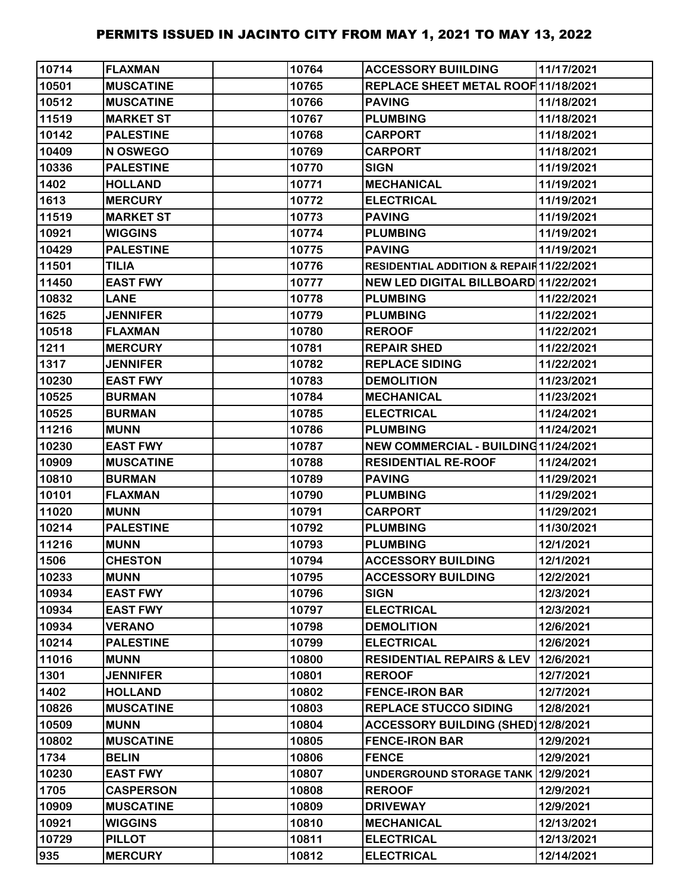| 10714 | <b>FLAXMAN</b>   | 10764 | <b>ACCESSORY BUILDING</b>                | 11/17/2021 |
|-------|------------------|-------|------------------------------------------|------------|
| 10501 | <b>MUSCATINE</b> | 10765 | REPLACE SHEET METAL ROOF 11/18/2021      |            |
| 10512 | <b>MUSCATINE</b> | 10766 | <b>PAVING</b>                            | 11/18/2021 |
| 11519 | <b>MARKET ST</b> | 10767 | <b>PLUMBING</b>                          | 11/18/2021 |
| 10142 | <b>PALESTINE</b> | 10768 | <b>CARPORT</b>                           | 11/18/2021 |
| 10409 | N OSWEGO         | 10769 | <b>CARPORT</b>                           | 11/18/2021 |
| 10336 | <b>PALESTINE</b> | 10770 | <b>SIGN</b>                              | 11/19/2021 |
| 1402  | <b>HOLLAND</b>   | 10771 | <b>MECHANICAL</b>                        | 11/19/2021 |
| 1613  | <b>MERCURY</b>   | 10772 | <b>ELECTRICAL</b>                        | 11/19/2021 |
| 11519 | <b>MARKET ST</b> | 10773 | <b>PAVING</b>                            | 11/19/2021 |
| 10921 | <b>WIGGINS</b>   | 10774 | <b>PLUMBING</b>                          | 11/19/2021 |
| 10429 | <b>PALESTINE</b> | 10775 | <b>PAVING</b>                            | 11/19/2021 |
| 11501 | <b>TILIA</b>     | 10776 | RESIDENTIAL ADDITION & REPAIR 11/22/2021 |            |
| 11450 | <b>EAST FWY</b>  | 10777 | NEW LED DIGITAL BILLBOARD 11/22/2021     |            |
| 10832 | <b>LANE</b>      | 10778 | <b>PLUMBING</b>                          | 11/22/2021 |
| 1625  | <b>JENNIFER</b>  | 10779 | <b>PLUMBING</b>                          | 11/22/2021 |
| 10518 | <b>FLAXMAN</b>   | 10780 | <b>REROOF</b>                            | 11/22/2021 |
| 1211  | <b>MERCURY</b>   | 10781 | <b>REPAIR SHED</b>                       | 11/22/2021 |
| 1317  | <b>JENNIFER</b>  | 10782 | <b>REPLACE SIDING</b>                    | 11/22/2021 |
| 10230 | <b>EAST FWY</b>  | 10783 | <b>DEMOLITION</b>                        | 11/23/2021 |
| 10525 | <b>BURMAN</b>    | 10784 | <b>MECHANICAL</b>                        | 11/23/2021 |
| 10525 | <b>BURMAN</b>    | 10785 | <b>ELECTRICAL</b>                        | 11/24/2021 |
| 11216 | <b>MUNN</b>      | 10786 | <b>PLUMBING</b>                          | 11/24/2021 |
| 10230 | <b>EAST FWY</b>  | 10787 | NEW COMMERCIAL - BUILDING11/24/2021      |            |
| 10909 | <b>MUSCATINE</b> | 10788 | <b>RESIDENTIAL RE-ROOF</b>               | 11/24/2021 |
| 10810 | <b>BURMAN</b>    | 10789 | <b>PAVING</b>                            | 11/29/2021 |
| 10101 | <b>FLAXMAN</b>   | 10790 | <b>PLUMBING</b>                          | 11/29/2021 |
| 11020 | <b>MUNN</b>      | 10791 | <b>CARPORT</b>                           | 11/29/2021 |
| 10214 | <b>PALESTINE</b> | 10792 | <b>PLUMBING</b>                          | 11/30/2021 |
| 11216 | <b>MUNN</b>      | 10793 | <b>PLUMBING</b>                          | 12/1/2021  |
| 1506  | <b>CHESTON</b>   | 10794 | <b>ACCESSORY BUILDING</b>                | 12/1/2021  |
| 10233 | <b>MUNN</b>      | 10795 | <b>ACCESSORY BUILDING</b>                | 12/2/2021  |
| 10934 | <b>EAST FWY</b>  | 10796 | <b>SIGN</b>                              | 12/3/2021  |
| 10934 | <b>EAST FWY</b>  | 10797 | <b>ELECTRICAL</b>                        | 12/3/2021  |
| 10934 | <b>VERANO</b>    | 10798 | <b>DEMOLITION</b>                        | 12/6/2021  |
| 10214 | <b>PALESTINE</b> | 10799 | <b>ELECTRICAL</b>                        | 12/6/2021  |
| 11016 | <b>MUNN</b>      | 10800 | RESIDENTIAL REPAIRS & LEV 12/6/2021      |            |
| 1301  | <b>JENNIFER</b>  | 10801 | <b>REROOF</b>                            | 12/7/2021  |
| 1402  | <b>HOLLAND</b>   | 10802 | <b>FENCE-IRON BAR</b>                    | 12/7/2021  |
| 10826 | <b>MUSCATINE</b> | 10803 | <b>REPLACE STUCCO SIDING</b>             | 12/8/2021  |
| 10509 | <b>MUNN</b>      | 10804 | <b>ACCESSORY BUILDING (SHED)</b>         | 12/8/2021  |
| 10802 | <b>MUSCATINE</b> | 10805 | <b>FENCE-IRON BAR</b>                    | 12/9/2021  |
| 1734  | <b>BELIN</b>     | 10806 | <b>FENCE</b>                             | 12/9/2021  |
| 10230 | <b>EAST FWY</b>  | 10807 | UNDERGROUND STORAGE TANK 12/9/2021       |            |
| 1705  | <b>CASPERSON</b> | 10808 | <b>REROOF</b>                            | 12/9/2021  |
| 10909 | <b>MUSCATINE</b> | 10809 | <b>DRIVEWAY</b>                          | 12/9/2021  |
| 10921 | <b>WIGGINS</b>   | 10810 | <b>MECHANICAL</b>                        | 12/13/2021 |
| 10729 | <b>PILLOT</b>    | 10811 | <b>ELECTRICAL</b>                        | 12/13/2021 |
| 935   | <b>MERCURY</b>   | 10812 | <b>ELECTRICAL</b>                        | 12/14/2021 |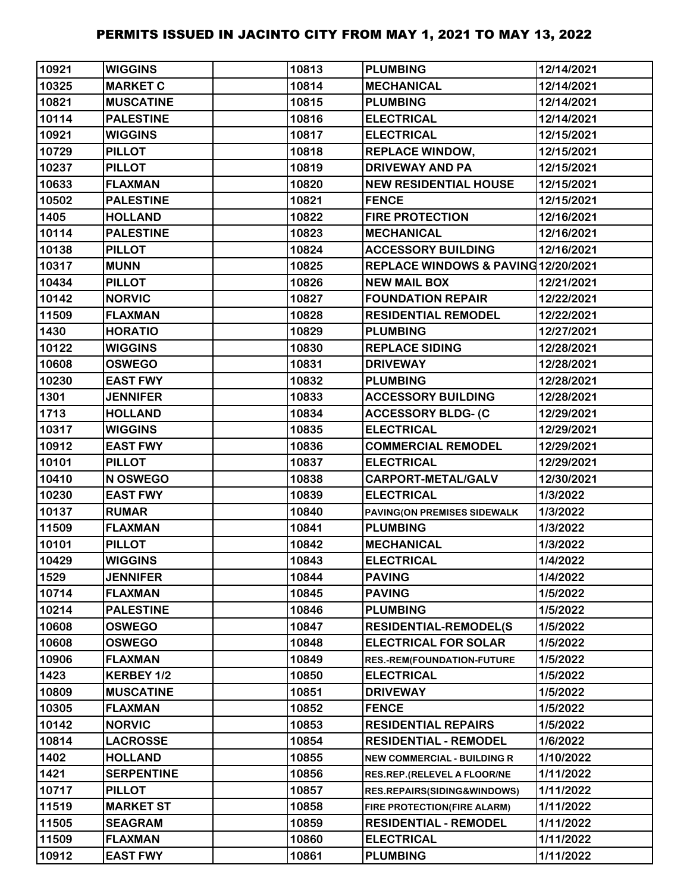| 10921 | <b>WIGGINS</b>    | 10813 | <b>PLUMBING</b>                     | 12/14/2021 |
|-------|-------------------|-------|-------------------------------------|------------|
| 10325 | <b>MARKET C</b>   | 10814 | <b>MECHANICAL</b>                   | 12/14/2021 |
| 10821 | <b>MUSCATINE</b>  | 10815 | <b>PLUMBING</b>                     | 12/14/2021 |
| 10114 | <b>PALESTINE</b>  | 10816 | <b>ELECTRICAL</b>                   | 12/14/2021 |
| 10921 | <b>WIGGINS</b>    | 10817 | <b>ELECTRICAL</b>                   | 12/15/2021 |
| 10729 | <b>PILLOT</b>     | 10818 | <b>REPLACE WINDOW,</b>              | 12/15/2021 |
| 10237 | <b>PILLOT</b>     | 10819 | <b>DRIVEWAY AND PA</b>              | 12/15/2021 |
| 10633 | <b>FLAXMAN</b>    | 10820 | <b>NEW RESIDENTIAL HOUSE</b>        | 12/15/2021 |
| 10502 | <b>PALESTINE</b>  | 10821 | <b>FENCE</b>                        | 12/15/2021 |
| 1405  | <b>HOLLAND</b>    | 10822 | <b>FIRE PROTECTION</b>              | 12/16/2021 |
| 10114 | <b>PALESTINE</b>  | 10823 | <b>MECHANICAL</b>                   | 12/16/2021 |
| 10138 | <b>PILLOT</b>     | 10824 | <b>ACCESSORY BUILDING</b>           | 12/16/2021 |
| 10317 | <b>MUNN</b>       | 10825 | REPLACE WINDOWS & PAVING 12/20/2021 |            |
| 10434 | <b>PILLOT</b>     | 10826 | <b>NEW MAIL BOX</b>                 | 12/21/2021 |
| 10142 | <b>NORVIC</b>     | 10827 | <b>FOUNDATION REPAIR</b>            | 12/22/2021 |
| 11509 | <b>FLAXMAN</b>    | 10828 | <b>RESIDENTIAL REMODEL</b>          | 12/22/2021 |
| 1430  | <b>HORATIO</b>    | 10829 | <b>PLUMBING</b>                     | 12/27/2021 |
| 10122 | <b>WIGGINS</b>    | 10830 | <b>REPLACE SIDING</b>               | 12/28/2021 |
| 10608 | <b>OSWEGO</b>     | 10831 | <b>DRIVEWAY</b>                     | 12/28/2021 |
| 10230 | <b>EAST FWY</b>   | 10832 | <b>PLUMBING</b>                     | 12/28/2021 |
| 1301  | <b>JENNIFER</b>   | 10833 | <b>ACCESSORY BUILDING</b>           | 12/28/2021 |
| 1713  | <b>HOLLAND</b>    | 10834 | <b>ACCESSORY BLDG- (C</b>           | 12/29/2021 |
| 10317 | <b>WIGGINS</b>    | 10835 | <b>ELECTRICAL</b>                   | 12/29/2021 |
| 10912 | <b>EAST FWY</b>   | 10836 | <b>COMMERCIAL REMODEL</b>           | 12/29/2021 |
| 10101 | <b>PILLOT</b>     | 10837 | <b>ELECTRICAL</b>                   | 12/29/2021 |
| 10410 | N OSWEGO          | 10838 | <b>CARPORT-METAL/GALV</b>           | 12/30/2021 |
| 10230 | <b>EAST FWY</b>   | 10839 | <b>ELECTRICAL</b>                   | 1/3/2022   |
| 10137 | <b>RUMAR</b>      | 10840 | PAVING(ON PREMISES SIDEWALK         | 1/3/2022   |
| 11509 | <b>FLAXMAN</b>    | 10841 | <b>PLUMBING</b>                     | 1/3/2022   |
| 10101 | <b>PILLOT</b>     | 10842 | <b>MECHANICAL</b>                   | 1/3/2022   |
| 10429 | <b>WIGGINS</b>    | 10843 | <b>ELECTRICAL</b>                   | 1/4/2022   |
| 1529  | <b>JENNIFER</b>   | 10844 | <b>PAVING</b>                       | 1/4/2022   |
| 10714 | <b>FLAXMAN</b>    | 10845 | <b>PAVING</b>                       | 1/5/2022   |
| 10214 | <b>PALESTINE</b>  | 10846 | <b>PLUMBING</b>                     | 1/5/2022   |
| 10608 | <b>OSWEGO</b>     | 10847 | <b>RESIDENTIAL-REMODEL(S</b>        | 1/5/2022   |
| 10608 | <b>OSWEGO</b>     | 10848 | <b>ELECTRICAL FOR SOLAR</b>         | 1/5/2022   |
| 10906 | <b>FLAXMAN</b>    | 10849 | RES.-REM(FOUNDATION-FUTURE          | 1/5/2022   |
| 1423  | KERBEY 1/2        | 10850 | <b>ELECTRICAL</b>                   | 1/5/2022   |
| 10809 | <b>MUSCATINE</b>  | 10851 | <b>DRIVEWAY</b>                     | 1/5/2022   |
| 10305 | <b>FLAXMAN</b>    | 10852 | <b>FENCE</b>                        | 1/5/2022   |
| 10142 | <b>NORVIC</b>     | 10853 | <b>RESIDENTIAL REPAIRS</b>          | 1/5/2022   |
| 10814 | <b>LACROSSE</b>   | 10854 | <b>RESIDENTIAL - REMODEL</b>        | 1/6/2022   |
| 1402  | <b>HOLLAND</b>    | 10855 | <b>NEW COMMERCIAL - BUILDING R</b>  | 1/10/2022  |
| 1421  | <b>SERPENTINE</b> | 10856 | RES.REP.(RELEVEL A FLOOR/NE         | 1/11/2022  |
| 10717 | <b>PILLOT</b>     | 10857 | RES.REPAIRS(SIDING&WINDOWS)         | 1/11/2022  |
| 11519 | <b>MARKET ST</b>  | 10858 | FIRE PROTECTION(FIRE ALARM)         | 1/11/2022  |
| 11505 | <b>SEAGRAM</b>    | 10859 | <b>RESIDENTIAL - REMODEL</b>        | 1/11/2022  |
| 11509 | <b>FLAXMAN</b>    | 10860 | <b>ELECTRICAL</b>                   | 1/11/2022  |
| 10912 | <b>EAST FWY</b>   | 10861 | <b>PLUMBING</b>                     | 1/11/2022  |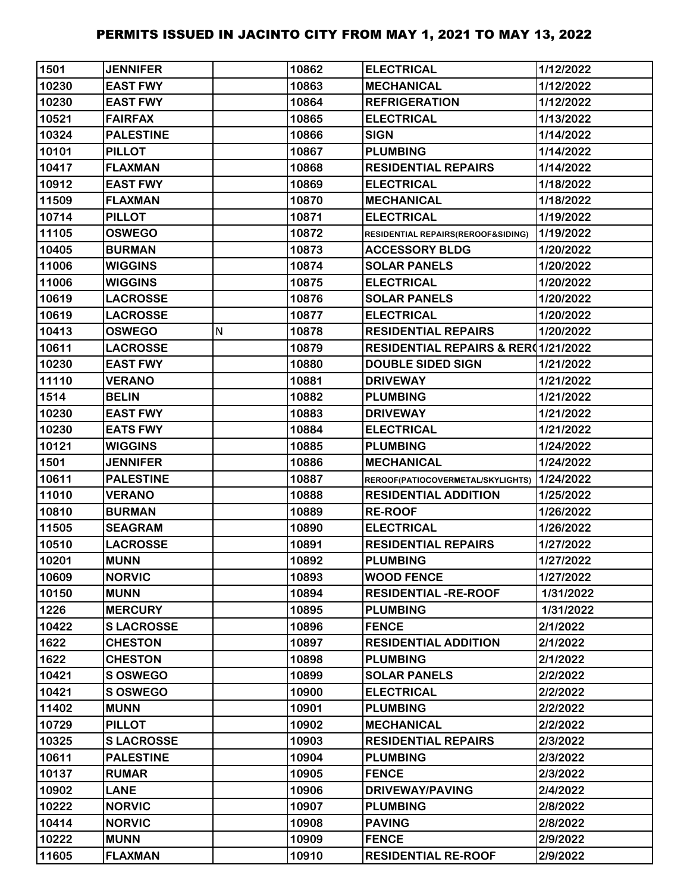| 1501  | <b>JENNIFER</b>  |   | 10862 | <b>ELECTRICAL</b>                              | 1/12/2022 |
|-------|------------------|---|-------|------------------------------------------------|-----------|
| 10230 | <b>EAST FWY</b>  |   | 10863 | <b>MECHANICAL</b>                              | 1/12/2022 |
| 10230 | <b>EAST FWY</b>  |   | 10864 | <b>REFRIGERATION</b>                           | 1/12/2022 |
| 10521 | <b>FAIRFAX</b>   |   | 10865 | <b>ELECTRICAL</b>                              | 1/13/2022 |
| 10324 | <b>PALESTINE</b> |   | 10866 | <b>SIGN</b>                                    | 1/14/2022 |
| 10101 | <b>PILLOT</b>    |   | 10867 | <b>PLUMBING</b>                                | 1/14/2022 |
| 10417 | <b>FLAXMAN</b>   |   | 10868 | <b>RESIDENTIAL REPAIRS</b>                     | 1/14/2022 |
| 10912 | <b>EAST FWY</b>  |   | 10869 | <b>ELECTRICAL</b>                              | 1/18/2022 |
| 11509 | <b>FLAXMAN</b>   |   | 10870 | <b>MECHANICAL</b>                              | 1/18/2022 |
| 10714 | <b>PILLOT</b>    |   | 10871 | <b>ELECTRICAL</b>                              | 1/19/2022 |
| 11105 | <b>OSWEGO</b>    |   | 10872 | RESIDENTIAL REPAIRS(REROOF&SIDING)             | 1/19/2022 |
| 10405 | <b>BURMAN</b>    |   | 10873 | <b>ACCESSORY BLDG</b>                          | 1/20/2022 |
| 11006 | <b>WIGGINS</b>   |   | 10874 | <b>SOLAR PANELS</b>                            | 1/20/2022 |
| 11006 | <b>WIGGINS</b>   |   | 10875 | <b>ELECTRICAL</b>                              | 1/20/2022 |
| 10619 | <b>LACROSSE</b>  |   | 10876 | <b>SOLAR PANELS</b>                            | 1/20/2022 |
| 10619 | <b>LACROSSE</b>  |   | 10877 | <b>ELECTRICAL</b>                              | 1/20/2022 |
| 10413 | <b>OSWEGO</b>    | N | 10878 | <b>RESIDENTIAL REPAIRS</b>                     | 1/20/2022 |
| 10611 | <b>LACROSSE</b>  |   | 10879 | <b>RESIDENTIAL REPAIRS &amp; RER01/21/2022</b> |           |
| 10230 | <b>EAST FWY</b>  |   | 10880 | <b>DOUBLE SIDED SIGN</b>                       | 1/21/2022 |
| 11110 | <b>VERANO</b>    |   | 10881 | <b>DRIVEWAY</b>                                | 1/21/2022 |
| 1514  | <b>BELIN</b>     |   | 10882 | <b>PLUMBING</b>                                | 1/21/2022 |
| 10230 | <b>EAST FWY</b>  |   | 10883 | <b>DRIVEWAY</b>                                | 1/21/2022 |
| 10230 | <b>EATS FWY</b>  |   | 10884 | <b>ELECTRICAL</b>                              | 1/21/2022 |
| 10121 | <b>WIGGINS</b>   |   | 10885 | <b>PLUMBING</b>                                | 1/24/2022 |
| 1501  | <b>JENNIFER</b>  |   | 10886 | <b>MECHANICAL</b>                              | 1/24/2022 |
| 10611 | <b>PALESTINE</b> |   | 10887 | REROOF(PATIOCOVERMETAL/SKYLIGHTS)              | 1/24/2022 |
| 11010 | <b>VERANO</b>    |   | 10888 | <b>RESIDENTIAL ADDITION</b>                    | 1/25/2022 |
| 10810 | <b>BURMAN</b>    |   | 10889 | <b>RE-ROOF</b>                                 | 1/26/2022 |
| 11505 | <b>SEAGRAM</b>   |   | 10890 | <b>ELECTRICAL</b>                              | 1/26/2022 |
| 10510 | <b>LACROSSE</b>  |   | 10891 | <b>RESIDENTIAL REPAIRS</b>                     | 1/27/2022 |
| 10201 | <b>MUNN</b>      |   | 10892 | <b>PLUMBING</b>                                | 1/27/2022 |
| 10609 | <b>NORVIC</b>    |   | 10893 | <b>WOOD FENCE</b>                              | 1/27/2022 |
| 10150 | <b>MUNN</b>      |   | 10894 | <b>RESIDENTIAL -RE-ROOF</b>                    | 1/31/2022 |
| 1226  | <b>MERCURY</b>   |   | 10895 | <b>PLUMBING</b>                                | 1/31/2022 |
| 10422 | <b>SLACROSSE</b> |   | 10896 | <b>FENCE</b>                                   | 2/1/2022  |
| 1622  | <b>CHESTON</b>   |   | 10897 | <b>RESIDENTIAL ADDITION</b>                    | 2/1/2022  |
| 1622  | <b>CHESTON</b>   |   | 10898 | <b>PLUMBING</b>                                | 2/1/2022  |
| 10421 | <b>S OSWEGO</b>  |   | 10899 | <b>SOLAR PANELS</b>                            | 2/2/2022  |
| 10421 | <b>S OSWEGO</b>  |   | 10900 | <b>ELECTRICAL</b>                              | 2/2/2022  |
| 11402 | <b>MUNN</b>      |   | 10901 | <b>PLUMBING</b>                                | 2/2/2022  |
| 10729 | <b>PILLOT</b>    |   | 10902 | <b>MECHANICAL</b>                              | 2/2/2022  |
| 10325 | <b>SLACROSSE</b> |   | 10903 | <b>RESIDENTIAL REPAIRS</b>                     | 2/3/2022  |
| 10611 | <b>PALESTINE</b> |   | 10904 | <b>PLUMBING</b>                                | 2/3/2022  |
| 10137 | <b>RUMAR</b>     |   | 10905 | <b>FENCE</b>                                   | 2/3/2022  |
| 10902 | <b>LANE</b>      |   | 10906 | <b>DRIVEWAY/PAVING</b>                         | 2/4/2022  |
| 10222 | <b>NORVIC</b>    |   | 10907 | <b>PLUMBING</b>                                | 2/8/2022  |
| 10414 | <b>NORVIC</b>    |   | 10908 | <b>PAVING</b>                                  | 2/8/2022  |
| 10222 | <b>MUNN</b>      |   | 10909 | <b>FENCE</b>                                   | 2/9/2022  |
| 11605 | <b>FLAXMAN</b>   |   | 10910 | <b>RESIDENTIAL RE-ROOF</b>                     | 2/9/2022  |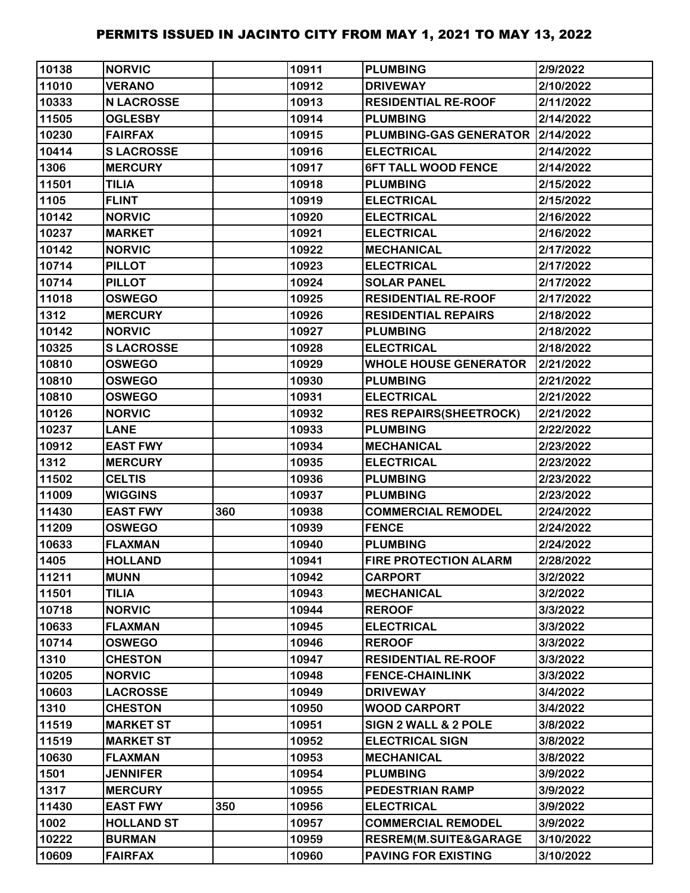| 10138 | <b>NORVIC</b>     |     | 10911 | <b>PLUMBING</b>                    | 2/9/2022  |
|-------|-------------------|-----|-------|------------------------------------|-----------|
| 11010 | <b>VERANO</b>     |     | 10912 | <b>DRIVEWAY</b>                    | 2/10/2022 |
| 10333 | <b>N LACROSSE</b> |     | 10913 | <b>RESIDENTIAL RE-ROOF</b>         | 2/11/2022 |
| 11505 | <b>OGLESBY</b>    |     | 10914 | <b>PLUMBING</b>                    | 2/14/2022 |
| 10230 | <b>FAIRFAX</b>    |     | 10915 | PLUMBING-GAS GENERATOR   2/14/2022 |           |
| 10414 | <b>SLACROSSE</b>  |     | 10916 | <b>ELECTRICAL</b>                  | 2/14/2022 |
| 1306  | <b>MERCURY</b>    |     | 10917 | <b>6FT TALL WOOD FENCE</b>         | 2/14/2022 |
| 11501 | <b>TILIA</b>      |     | 10918 | <b>PLUMBING</b>                    | 2/15/2022 |
| 1105  | <b>FLINT</b>      |     | 10919 | <b>ELECTRICAL</b>                  | 2/15/2022 |
| 10142 | <b>NORVIC</b>     |     | 10920 | <b>ELECTRICAL</b>                  | 2/16/2022 |
| 10237 | <b>MARKET</b>     |     | 10921 | <b>ELECTRICAL</b>                  | 2/16/2022 |
| 10142 | <b>NORVIC</b>     |     | 10922 | <b>MECHANICAL</b>                  | 2/17/2022 |
| 10714 | <b>PILLOT</b>     |     | 10923 | <b>ELECTRICAL</b>                  | 2/17/2022 |
| 10714 | <b>PILLOT</b>     |     | 10924 | <b>SOLAR PANEL</b>                 | 2/17/2022 |
| 11018 | <b>OSWEGO</b>     |     | 10925 | <b>RESIDENTIAL RE-ROOF</b>         | 2/17/2022 |
| 1312  | <b>MERCURY</b>    |     | 10926 | <b>RESIDENTIAL REPAIRS</b>         | 2/18/2022 |
| 10142 | <b>NORVIC</b>     |     | 10927 | <b>PLUMBING</b>                    | 2/18/2022 |
| 10325 | <b>SLACROSSE</b>  |     | 10928 | <b>ELECTRICAL</b>                  | 2/18/2022 |
| 10810 | <b>OSWEGO</b>     |     | 10929 | <b>WHOLE HOUSE GENERATOR</b>       | 2/21/2022 |
| 10810 | <b>OSWEGO</b>     |     | 10930 | <b>PLUMBING</b>                    | 2/21/2022 |
| 10810 | <b>OSWEGO</b>     |     | 10931 | <b>ELECTRICAL</b>                  | 2/21/2022 |
| 10126 | <b>NORVIC</b>     |     | 10932 | <b>RES REPAIRS(SHEETROCK)</b>      | 2/21/2022 |
| 10237 | <b>LANE</b>       |     | 10933 | <b>PLUMBING</b>                    | 2/22/2022 |
| 10912 | <b>EAST FWY</b>   |     | 10934 | <b>MECHANICAL</b>                  | 2/23/2022 |
| 1312  | <b>MERCURY</b>    |     | 10935 | <b>ELECTRICAL</b>                  | 2/23/2022 |
| 11502 | <b>CELTIS</b>     |     | 10936 | <b>PLUMBING</b>                    | 2/23/2022 |
| 11009 | <b>WIGGINS</b>    |     | 10937 | <b>PLUMBING</b>                    | 2/23/2022 |
| 11430 | <b>EAST FWY</b>   | 360 | 10938 | <b>COMMERCIAL REMODEL</b>          | 2/24/2022 |
| 11209 | <b>OSWEGO</b>     |     | 10939 | <b>FENCE</b>                       | 2/24/2022 |
| 10633 | <b>FLAXMAN</b>    |     | 10940 | <b>PLUMBING</b>                    | 2/24/2022 |
| 1405  | <b>HOLLAND</b>    |     | 10941 | <b>FIRE PROTECTION ALARM</b>       | 2/28/2022 |
| 11211 | <b>MUNN</b>       |     | 10942 | <b>CARPORT</b>                     | 3/2/2022  |
| 11501 | <b>TILIA</b>      |     | 10943 | <b>MECHANICAL</b>                  | 3/2/2022  |
| 10718 | <b>NORVIC</b>     |     | 10944 | <b>REROOF</b>                      | 3/3/2022  |
| 10633 | <b>FLAXMAN</b>    |     | 10945 | <b>ELECTRICAL</b>                  | 3/3/2022  |
| 10714 | <b>OSWEGO</b>     |     | 10946 | <b>REROOF</b>                      | 3/3/2022  |
| 1310  | <b>CHESTON</b>    |     | 10947 | <b>RESIDENTIAL RE-ROOF</b>         | 3/3/2022  |
| 10205 | <b>NORVIC</b>     |     | 10948 | <b>FENCE-CHAINLINK</b>             | 3/3/2022  |
| 10603 | <b>LACROSSE</b>   |     | 10949 | <b>DRIVEWAY</b>                    | 3/4/2022  |
| 1310  | <b>CHESTON</b>    |     | 10950 | <b>WOOD CARPORT</b>                | 3/4/2022  |
| 11519 | <b>MARKET ST</b>  |     | 10951 | SIGN 2 WALL & 2 POLE               | 3/8/2022  |
| 11519 | <b>MARKET ST</b>  |     | 10952 | <b>ELECTRICAL SIGN</b>             | 3/8/2022  |
| 10630 | <b>FLAXMAN</b>    |     | 10953 | <b>MECHANICAL</b>                  | 3/8/2022  |
| 1501  | <b>JENNIFER</b>   |     | 10954 | <b>PLUMBING</b>                    | 3/9/2022  |
| 1317  | <b>MERCURY</b>    |     | 10955 | <b>PEDESTRIAN RAMP</b>             | 3/9/2022  |
| 11430 | <b>EAST FWY</b>   | 350 | 10956 | <b>ELECTRICAL</b>                  | 3/9/2022  |
| 1002  | <b>HOLLAND ST</b> |     | 10957 | <b>COMMERCIAL REMODEL</b>          | 3/9/2022  |
| 10222 | <b>BURMAN</b>     |     | 10959 | <b>RESREM(M.SUITE&amp;GARAGE</b>   | 3/10/2022 |
| 10609 | <b>FAIRFAX</b>    |     | 10960 | <b>PAVING FOR EXISTING</b>         | 3/10/2022 |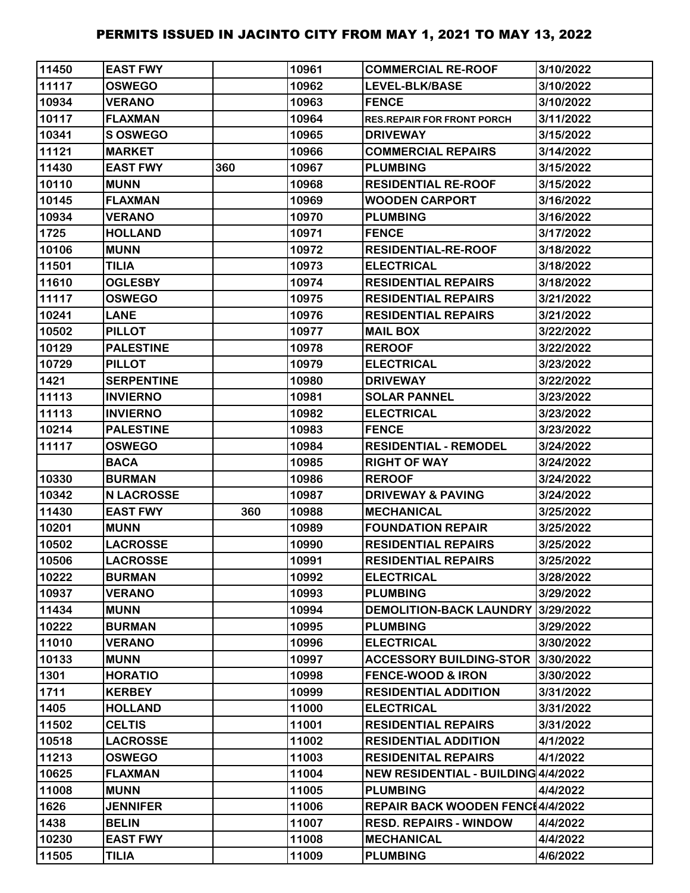| 11450 | <b>EAST FWY</b>   |     | 10961 | <b>COMMERCIAL RE-ROOF</b>           | 3/10/2022 |
|-------|-------------------|-----|-------|-------------------------------------|-----------|
| 11117 | <b>OSWEGO</b>     |     | 10962 | LEVEL-BLK/BASE                      | 3/10/2022 |
| 10934 | <b>VERANO</b>     |     | 10963 | <b>FENCE</b>                        | 3/10/2022 |
| 10117 | <b>FLAXMAN</b>    |     | 10964 | <b>RES.REPAIR FOR FRONT PORCH</b>   | 3/11/2022 |
| 10341 | S OSWEGO          |     | 10965 | <b>DRIVEWAY</b>                     | 3/15/2022 |
| 11121 | <b>MARKET</b>     |     | 10966 | <b>COMMERCIAL REPAIRS</b>           | 3/14/2022 |
| 11430 | <b>EAST FWY</b>   | 360 | 10967 | <b>PLUMBING</b>                     | 3/15/2022 |
| 10110 | <b>MUNN</b>       |     | 10968 | <b>RESIDENTIAL RE-ROOF</b>          | 3/15/2022 |
| 10145 | <b>FLAXMAN</b>    |     | 10969 | <b>WOODEN CARPORT</b>               | 3/16/2022 |
| 10934 | <b>VERANO</b>     |     | 10970 | <b>PLUMBING</b>                     | 3/16/2022 |
| 1725  | <b>HOLLAND</b>    |     | 10971 | <b>FENCE</b>                        | 3/17/2022 |
| 10106 | <b>MUNN</b>       |     | 10972 | <b>RESIDENTIAL-RE-ROOF</b>          | 3/18/2022 |
| 11501 | <b>TILIA</b>      |     | 10973 | <b>ELECTRICAL</b>                   | 3/18/2022 |
| 11610 | <b>OGLESBY</b>    |     | 10974 | <b>RESIDENTIAL REPAIRS</b>          | 3/18/2022 |
| 11117 | <b>OSWEGO</b>     |     | 10975 | <b>RESIDENTIAL REPAIRS</b>          | 3/21/2022 |
| 10241 | <b>LANE</b>       |     | 10976 | <b>RESIDENTIAL REPAIRS</b>          | 3/21/2022 |
| 10502 | <b>PILLOT</b>     |     | 10977 | <b>MAIL BOX</b>                     | 3/22/2022 |
| 10129 | <b>PALESTINE</b>  |     | 10978 | <b>REROOF</b>                       | 3/22/2022 |
| 10729 | <b>PILLOT</b>     |     | 10979 | <b>ELECTRICAL</b>                   | 3/23/2022 |
| 1421  | <b>SERPENTINE</b> |     | 10980 | <b>DRIVEWAY</b>                     | 3/22/2022 |
| 11113 | <b>INVIERNO</b>   |     | 10981 | <b>SOLAR PANNEL</b>                 | 3/23/2022 |
| 11113 | <b>INVIERNO</b>   |     | 10982 | <b>ELECTRICAL</b>                   | 3/23/2022 |
| 10214 | <b>PALESTINE</b>  |     | 10983 | <b>FENCE</b>                        | 3/23/2022 |
| 11117 | <b>OSWEGO</b>     |     | 10984 | <b>RESIDENTIAL - REMODEL</b>        | 3/24/2022 |
|       | <b>BACA</b>       |     | 10985 | <b>RIGHT OF WAY</b>                 | 3/24/2022 |
| 10330 | <b>BURMAN</b>     |     | 10986 | <b>REROOF</b>                       | 3/24/2022 |
| 10342 | <b>N LACROSSE</b> |     | 10987 | <b>DRIVEWAY &amp; PAVING</b>        | 3/24/2022 |
| 11430 | <b>EAST FWY</b>   | 360 | 10988 | <b>MECHANICAL</b>                   | 3/25/2022 |
| 10201 | <b>MUNN</b>       |     | 10989 | <b>FOUNDATION REPAIR</b>            | 3/25/2022 |
| 10502 | <b>LACROSSE</b>   |     | 10990 | <b>RESIDENTIAL REPAIRS</b>          | 3/25/2022 |
| 10506 | <b>LACROSSE</b>   |     | 10991 | <b>RESIDENTIAL REPAIRS</b>          | 3/25/2022 |
| 10222 | <b>BURMAN</b>     |     | 10992 | <b>ELECTRICAL</b>                   | 3/28/2022 |
| 10937 | <b>VERANO</b>     |     | 10993 | <b>PLUMBING</b>                     | 3/29/2022 |
| 11434 | <b>MUNN</b>       |     | 10994 | <b>DEMOLITION-BACK LAUNDRY</b>      | 3/29/2022 |
| 10222 | <b>BURMAN</b>     |     | 10995 | <b>PLUMBING</b>                     | 3/29/2022 |
| 11010 | <b>VERANO</b>     |     | 10996 | <b>ELECTRICAL</b>                   | 3/30/2022 |
| 10133 | <b>MUNN</b>       |     | 10997 | <b>ACCESSORY BUILDING-STOR</b>      | 3/30/2022 |
| 1301  | <b>HORATIO</b>    |     | 10998 | <b>FENCE-WOOD &amp; IRON</b>        | 3/30/2022 |
| 1711  | <b>KERBEY</b>     |     | 10999 | <b>RESIDENTIAL ADDITION</b>         | 3/31/2022 |
| 1405  | <b>HOLLAND</b>    |     | 11000 | <b>ELECTRICAL</b>                   | 3/31/2022 |
| 11502 | <b>CELTIS</b>     |     | 11001 | <b>RESIDENTIAL REPAIRS</b>          | 3/31/2022 |
| 10518 | <b>LACROSSE</b>   |     | 11002 | <b>RESIDENTIAL ADDITION</b>         | 4/1/2022  |
| 11213 | <b>OSWEGO</b>     |     | 11003 | <b>RESIDENITAL REPAIRS</b>          | 4/1/2022  |
| 10625 | <b>FLAXMAN</b>    |     | 11004 | NEW RESIDENTIAL - BUILDING 4/4/2022 |           |
| 11008 | <b>MUNN</b>       |     | 11005 | <b>PLUMBING</b>                     | 4/4/2022  |
| 1626  | <b>JENNIFER</b>   |     | 11006 | REPAIR BACK WOODEN FENC14/4/2022    |           |
| 1438  | <b>BELIN</b>      |     | 11007 | <b>RESD. REPAIRS - WINDOW</b>       | 4/4/2022  |
| 10230 | <b>EAST FWY</b>   |     | 11008 | <b>MECHANICAL</b>                   | 4/4/2022  |
| 11505 | <b>TILIA</b>      |     | 11009 | <b>PLUMBING</b>                     | 4/6/2022  |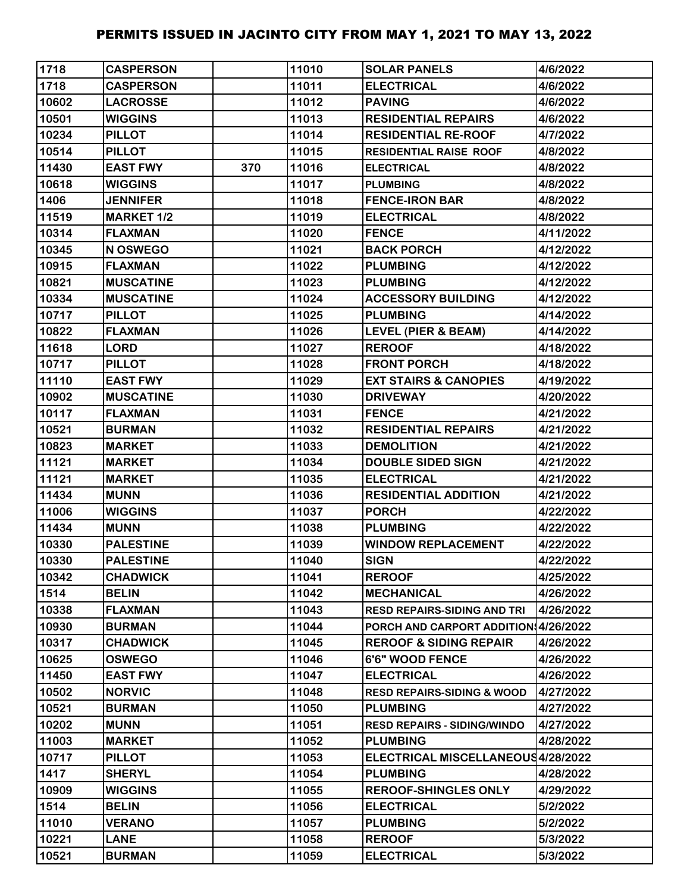| 1718  | <b>CASPERSON</b>  |     | 11010 | <b>SOLAR PANELS</b>                   | 4/6/2022  |
|-------|-------------------|-----|-------|---------------------------------------|-----------|
| 1718  | <b>CASPERSON</b>  |     | 11011 | <b>ELECTRICAL</b>                     | 4/6/2022  |
| 10602 | <b>LACROSSE</b>   |     | 11012 | <b>PAVING</b>                         | 4/6/2022  |
| 10501 | <b>WIGGINS</b>    |     | 11013 | <b>RESIDENTIAL REPAIRS</b>            | 4/6/2022  |
| 10234 | <b>PILLOT</b>     |     | 11014 | <b>RESIDENTIAL RE-ROOF</b>            | 4/7/2022  |
| 10514 | <b>PILLOT</b>     |     | 11015 | <b>RESIDENTIAL RAISE ROOF</b>         | 4/8/2022  |
| 11430 | <b>EAST FWY</b>   | 370 | 11016 | <b>ELECTRICAL</b>                     | 4/8/2022  |
| 10618 | <b>WIGGINS</b>    |     | 11017 | <b>PLUMBING</b>                       | 4/8/2022  |
| 1406  | <b>JENNIFER</b>   |     | 11018 | <b>FENCE-IRON BAR</b>                 | 4/8/2022  |
| 11519 | <b>MARKET 1/2</b> |     | 11019 | <b>ELECTRICAL</b>                     | 4/8/2022  |
| 10314 | <b>FLAXMAN</b>    |     | 11020 | <b>FENCE</b>                          | 4/11/2022 |
| 10345 | N OSWEGO          |     | 11021 | <b>BACK PORCH</b>                     | 4/12/2022 |
| 10915 | <b>FLAXMAN</b>    |     | 11022 | <b>PLUMBING</b>                       | 4/12/2022 |
| 10821 | <b>MUSCATINE</b>  |     | 11023 | <b>PLUMBING</b>                       | 4/12/2022 |
| 10334 | <b>MUSCATINE</b>  |     | 11024 | <b>ACCESSORY BUILDING</b>             | 4/12/2022 |
| 10717 | <b>PILLOT</b>     |     | 11025 | <b>PLUMBING</b>                       | 4/14/2022 |
| 10822 | <b>FLAXMAN</b>    |     | 11026 | <b>LEVEL (PIER &amp; BEAM)</b>        | 4/14/2022 |
| 11618 | <b>LORD</b>       |     | 11027 | <b>REROOF</b>                         | 4/18/2022 |
| 10717 | <b>PILLOT</b>     |     | 11028 | <b>FRONT PORCH</b>                    | 4/18/2022 |
| 11110 | <b>EAST FWY</b>   |     | 11029 | <b>EXT STAIRS &amp; CANOPIES</b>      | 4/19/2022 |
| 10902 | <b>MUSCATINE</b>  |     | 11030 | <b>DRIVEWAY</b>                       | 4/20/2022 |
| 10117 | <b>FLAXMAN</b>    |     | 11031 | <b>FENCE</b>                          | 4/21/2022 |
| 10521 | <b>BURMAN</b>     |     | 11032 | <b>RESIDENTIAL REPAIRS</b>            | 4/21/2022 |
| 10823 | <b>MARKET</b>     |     | 11033 | <b>DEMOLITION</b>                     | 4/21/2022 |
| 11121 | <b>MARKET</b>     |     | 11034 | <b>DOUBLE SIDED SIGN</b>              | 4/21/2022 |
| 11121 | <b>MARKET</b>     |     | 11035 | <b>ELECTRICAL</b>                     | 4/21/2022 |
| 11434 | <b>MUNN</b>       |     | 11036 | <b>RESIDENTIAL ADDITION</b>           | 4/21/2022 |
| 11006 | <b>WIGGINS</b>    |     | 11037 | <b>PORCH</b>                          | 4/22/2022 |
| 11434 | <b>MUNN</b>       |     | 11038 | <b>PLUMBING</b>                       | 4/22/2022 |
| 10330 | <b>PALESTINE</b>  |     | 11039 | <b>WINDOW REPLACEMENT</b>             | 4/22/2022 |
| 10330 | <b>PALESTINE</b>  |     | 11040 | <b>SIGN</b>                           | 4/22/2022 |
| 10342 | <b>CHADWICK</b>   |     | 11041 | <b>REROOF</b>                         | 4/25/2022 |
| 1514  | <b>BELIN</b>      |     | 11042 | <b>MECHANICAL</b>                     | 4/26/2022 |
| 10338 | <b>FLAXMAN</b>    |     | 11043 | <b>RESD REPAIRS-SIDING AND TRI</b>    | 4/26/2022 |
| 10930 | <b>BURMAN</b>     |     | 11044 | PORCH AND CARPORT ADDITION 4/26/2022  |           |
| 10317 | <b>CHADWICK</b>   |     | 11045 | <b>REROOF &amp; SIDING REPAIR</b>     | 4/26/2022 |
| 10625 | <b>OSWEGO</b>     |     | 11046 | 6'6" WOOD FENCE                       | 4/26/2022 |
| 11450 | <b>EAST FWY</b>   |     | 11047 | <b>ELECTRICAL</b>                     | 4/26/2022 |
| 10502 | <b>NORVIC</b>     |     | 11048 | <b>RESD REPAIRS-SIDING &amp; WOOD</b> | 4/27/2022 |
| 10521 | <b>BURMAN</b>     |     | 11050 | <b>PLUMBING</b>                       | 4/27/2022 |
| 10202 | <b>MUNN</b>       |     | 11051 | <b>RESD REPAIRS - SIDING/WINDO</b>    | 4/27/2022 |
| 11003 | <b>MARKET</b>     |     | 11052 | <b>PLUMBING</b>                       | 4/28/2022 |
| 10717 | <b>PILLOT</b>     |     | 11053 | ELECTRICAL MISCELLANEOUS4/28/2022     |           |
| 1417  | <b>SHERYL</b>     |     | 11054 | <b>PLUMBING</b>                       | 4/28/2022 |
| 10909 | <b>WIGGINS</b>    |     | 11055 | <b>REROOF-SHINGLES ONLY</b>           | 4/29/2022 |
| 1514  | <b>BELIN</b>      |     | 11056 | <b>ELECTRICAL</b>                     | 5/2/2022  |
| 11010 | <b>VERANO</b>     |     | 11057 | <b>PLUMBING</b>                       | 5/2/2022  |
| 10221 | <b>LANE</b>       |     | 11058 | <b>REROOF</b>                         | 5/3/2022  |
| 10521 | <b>BURMAN</b>     |     | 11059 | <b>ELECTRICAL</b>                     | 5/3/2022  |